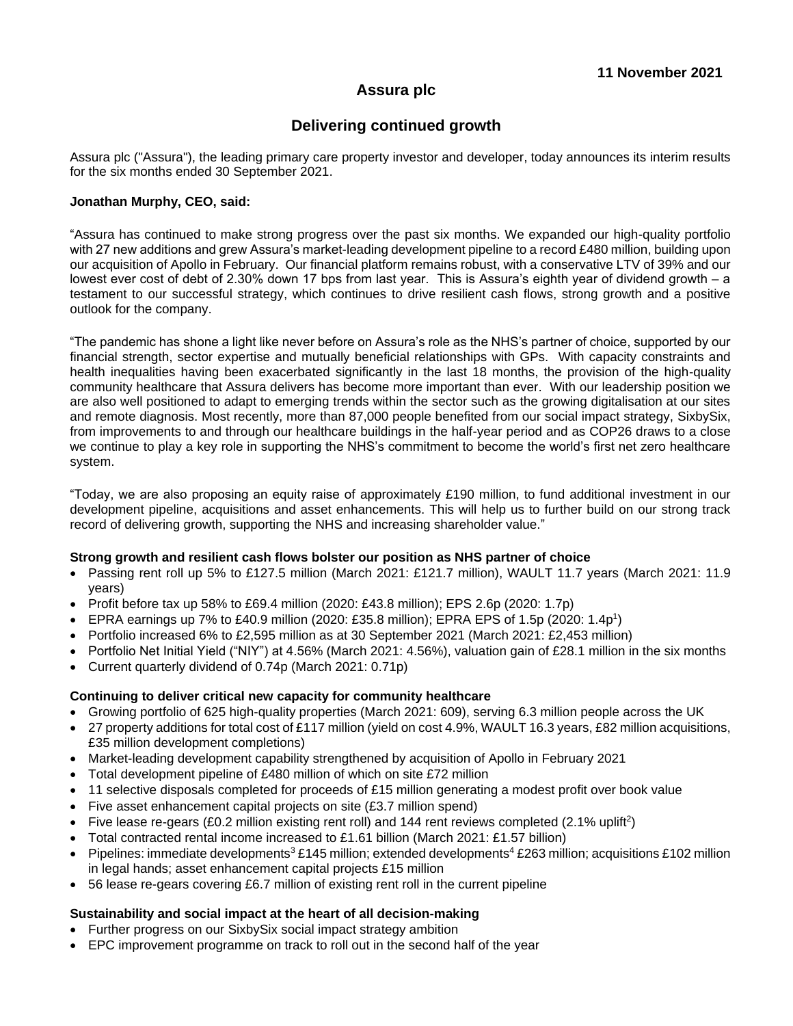# **Assura plc**

# **Delivering continued growth**

Assura plc ("Assura"), the leading primary care property investor and developer, today announces its interim results for the six months ended 30 September 2021.

### **Jonathan Murphy, CEO, said:**

"Assura has continued to make strong progress over the past six months. We expanded our high-quality portfolio with 27 new additions and grew Assura's market-leading development pipeline to a record £480 million, building upon our acquisition of Apollo in February. Our financial platform remains robust, with a conservative LTV of 39% and our lowest ever cost of debt of 2.30% down 17 bps from last year. This is Assura's eighth year of dividend growth – a testament to our successful strategy, which continues to drive resilient cash flows, strong growth and a positive outlook for the company.

"The pandemic has shone a light like never before on Assura's role as the NHS's partner of choice, supported by our financial strength, sector expertise and mutually beneficial relationships with GPs. With capacity constraints and health inequalities having been exacerbated significantly in the last 18 months, the provision of the high-quality community healthcare that Assura delivers has become more important than ever. With our leadership position we are also well positioned to adapt to emerging trends within the sector such as the growing digitalisation at our sites and remote diagnosis. Most recently, more than 87,000 people benefited from our social impact strategy, SixbySix, from improvements to and through our healthcare buildings in the half-year period and as COP26 draws to a close we continue to play a key role in supporting the NHS's commitment to become the world's first net zero healthcare system.

"Today, we are also proposing an equity raise of approximately £190 million, to fund additional investment in our development pipeline, acquisitions and asset enhancements. This will help us to further build on our strong track record of delivering growth, supporting the NHS and increasing shareholder value."

### **Strong growth and resilient cash flows bolster our position as NHS partner of choice**

- Passing rent roll up 5% to £127.5 million (March 2021: £121.7 million), WAULT 11.7 years (March 2021: 11.9 years)
- Profit before tax up 58% to £69.4 million (2020: £43.8 million); EPS 2.6p (2020: 1.7p)
- EPRA earnings up 7% to £40.9 million (2020: £35.8 million); EPRA EPS of 1.5p (2020: 1.4p<sup>1</sup>)
- Portfolio increased 6% to £2,595 million as at 30 September 2021 (March 2021: £2,453 million)
- Portfolio Net Initial Yield ("NIY") at 4.56% (March 2021: 4.56%), valuation gain of £28.1 million in the six months
- Current quarterly dividend of 0.74p (March 2021: 0.71p)

## **Continuing to deliver critical new capacity for community healthcare**

- Growing portfolio of 625 high-quality properties (March 2021: 609), serving 6.3 million people across the UK
- 27 property additions for total cost of £117 million (yield on cost 4.9%, WAULT 16.3 years, £82 million acquisitions, £35 million development completions)
- Market-leading development capability strengthened by acquisition of Apollo in February 2021
- Total development pipeline of £480 million of which on site £72 million
- 11 selective disposals completed for proceeds of £15 million generating a modest profit over book value
- Five asset enhancement capital projects on site (£3.7 million spend)
- Five lease re-gears (£0.2 million existing rent roll) and 144 rent reviews completed (2.1% uplift<sup>2</sup>)
- Total contracted rental income increased to £1.61 billion (March 2021: £1.57 billion)
- Pipelines: immediate developments<sup>3</sup> £145 million; extended developments<sup>4</sup> £263 million; acquisitions £102 million in legal hands; asset enhancement capital projects £15 million
- 56 lease re-gears covering £6.7 million of existing rent roll in the current pipeline

## **Sustainability and social impact at the heart of all decision-making**

- Further progress on our SixbySix social impact strategy ambition
- EPC improvement programme on track to roll out in the second half of the year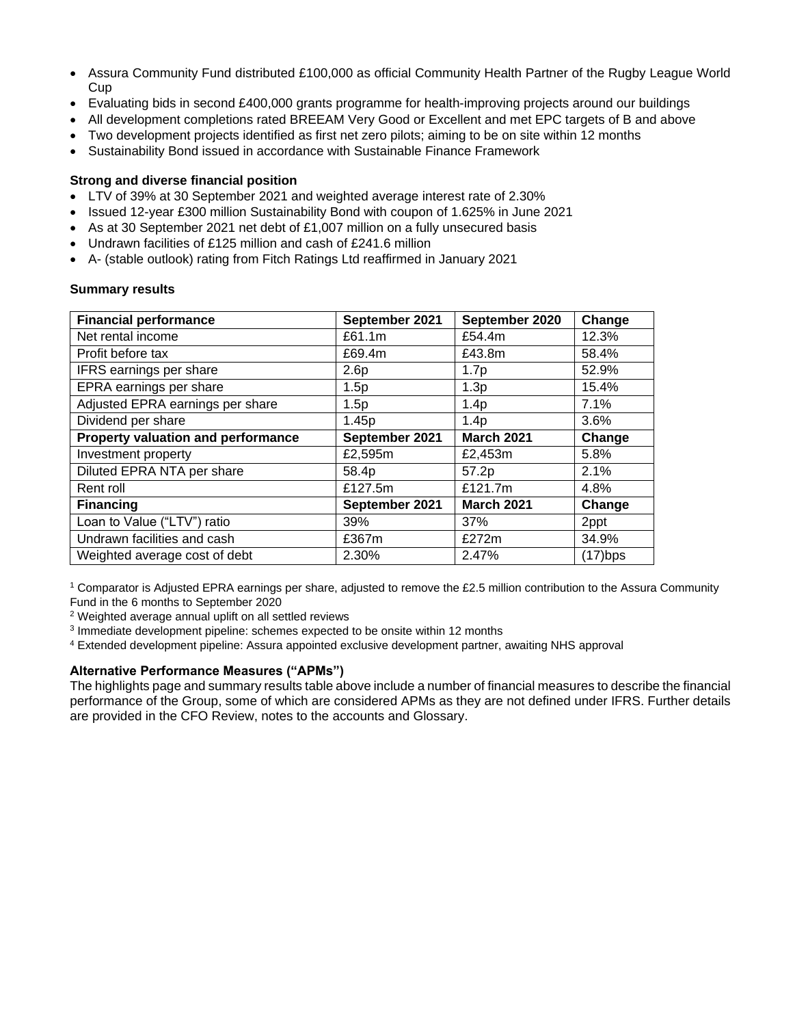- Assura Community Fund distributed £100,000 as official Community Health Partner of the Rugby League World Cup
- Evaluating bids in second £400,000 grants programme for health-improving projects around our buildings
- All development completions rated BREEAM Very Good or Excellent and met EPC targets of B and above
- Two development projects identified as first net zero pilots; aiming to be on site within 12 months
- Sustainability Bond issued in accordance with Sustainable Finance Framework

## **Strong and diverse financial position**

- LTV of 39% at 30 September 2021 and weighted average interest rate of 2.30%
- Issued 12-year £300 million Sustainability Bond with coupon of 1.625% in June 2021
- As at 30 September 2021 net debt of £1,007 million on a fully unsecured basis
- Undrawn facilities of £125 million and cash of £241.6 million
- A- (stable outlook) rating from Fitch Ratings Ltd reaffirmed in January 2021

## **Summary results**

| <b>Financial performance</b>       | September 2021   | September 2020    | Change     |
|------------------------------------|------------------|-------------------|------------|
| Net rental income                  | £61.1m           | £54.4m            | 12.3%      |
| Profit before tax                  | £69.4m           | £43.8m            | 58.4%      |
| <b>IFRS</b> earnings per share     | 2.6 <sub>p</sub> | 1.7p              | 52.9%      |
| EPRA earnings per share            | 1.5p             | 1.3p              | 15.4%      |
| Adjusted EPRA earnings per share   | 1.5p             | 1.4p              | 7.1%       |
| Dividend per share                 | 1.45p            | 1.4p              | 3.6%       |
| Property valuation and performance | September 2021   | <b>March 2021</b> | Change     |
| Investment property                | £2,595m          | £2,453m           | 5.8%       |
| Diluted EPRA NTA per share         | 58.4p            | 57.2p             | 2.1%       |
| Rent roll                          | £127.5m          | £121.7m           | 4.8%       |
| <b>Financing</b>                   | September 2021   | <b>March 2021</b> | Change     |
| Loan to Value ("LTV") ratio        | 39%              | 37%               | 2ppt       |
| Undrawn facilities and cash        | £367m            | £272m             | 34.9%      |
| Weighted average cost of debt      | 2.30%            | 2.47%             | $(17)$ bps |

<sup>1</sup> Comparator is Adjusted EPRA earnings per share, adjusted to remove the £2.5 million contribution to the Assura Community Fund in the 6 months to September 2020

<sup>2</sup> Weighted average annual uplift on all settled reviews

<sup>3</sup> Immediate development pipeline: schemes expected to be onsite within 12 months

<sup>4</sup> Extended development pipeline: Assura appointed exclusive development partner, awaiting NHS approval

## **Alternative Performance Measures ("APMs")**

The highlights page and summary results table above include a number of financial measures to describe the financial performance of the Group, some of which are considered APMs as they are not defined under IFRS. Further details are provided in the CFO Review, notes to the accounts and Glossary.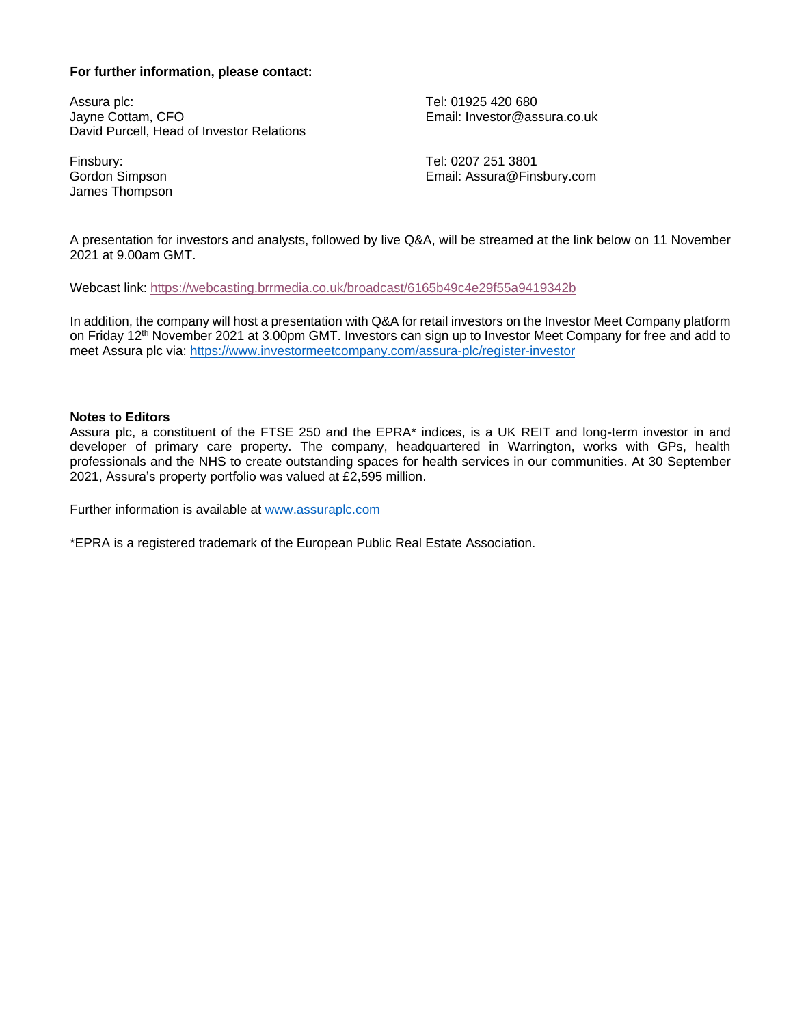## **For further information, please contact:**

Assura plc: Jayne Cottam, CFO David Purcell, Head of Investor Relations

Finsbury: Gordon Simpson James Thompson Tel: 01925 420 680 Email: Investor@assura.co.uk

Tel: 0207 251 3801 Email: Assura@Finsbury.com

A presentation for investors and analysts, followed by live Q&A, will be streamed at the link below on 11 November 2021 at 9.00am GMT.

Webcast link:<https://webcasting.brrmedia.co.uk/broadcast/6165b49c4e29f55a9419342b>

In addition, the company will host a presentation with Q&A for retail investors on the Investor Meet Company platform on Friday 12<sup>th</sup> November 2021 at 3.00pm GMT. Investors can sign up to Investor Meet Company for free and add to meet Assura plc via: [https://www.investormeetcompany.com/assura-plc/register-investor](https://protect-eu.mimecast.com/s/C_iHC59NQcVrRgSzbdmF)

#### **Notes to Editors**

Assura plc, a constituent of the FTSE 250 and the EPRA\* indices, is a UK REIT and long-term investor in and developer of primary care property. The company, headquartered in Warrington, works with GPs, health professionals and the NHS to create outstanding spaces for health services in our communities. At 30 September 2021, Assura's property portfolio was valued at £2,595 million.

Further information is available at [www.assuraplc.com](http://www.assuraplc.com/)

\*EPRA is a registered trademark of the European Public Real Estate Association.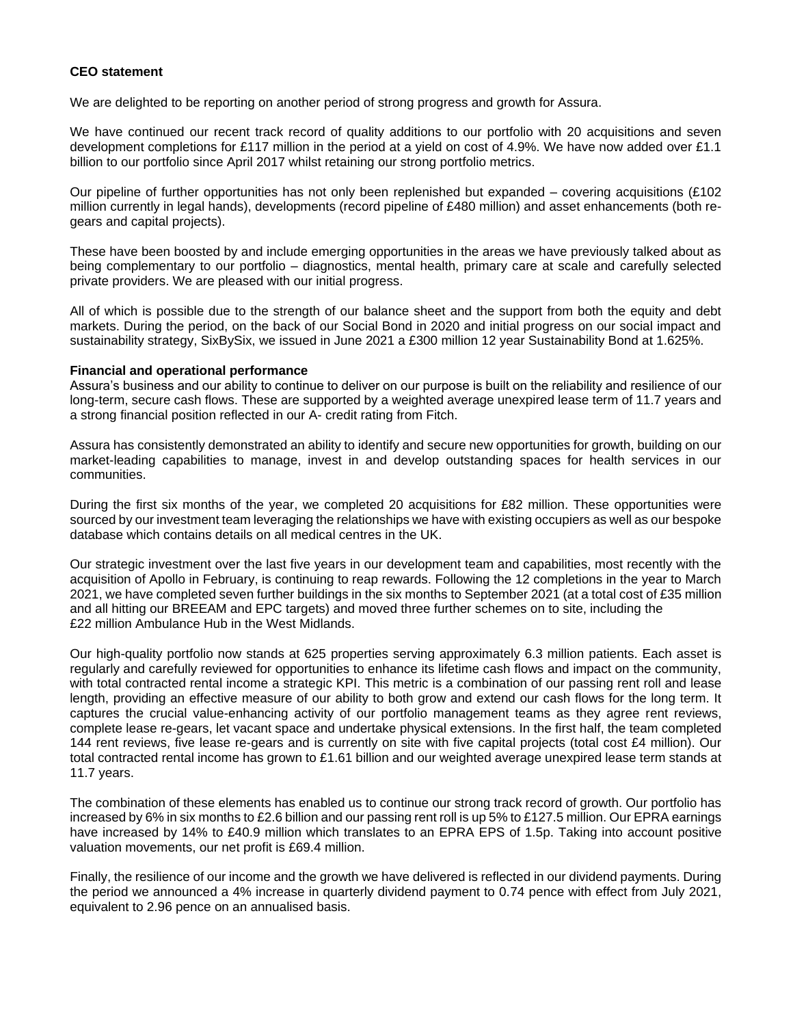### **CEO statement**

We are delighted to be reporting on another period of strong progress and growth for Assura.

We have continued our recent track record of quality additions to our portfolio with 20 acquisitions and seven development completions for £117 million in the period at a yield on cost of 4.9%. We have now added over £1.1 billion to our portfolio since April 2017 whilst retaining our strong portfolio metrics.

Our pipeline of further opportunities has not only been replenished but expanded – covering acquisitions (£102 million currently in legal hands), developments (record pipeline of £480 million) and asset enhancements (both regears and capital projects).

These have been boosted by and include emerging opportunities in the areas we have previously talked about as being complementary to our portfolio – diagnostics, mental health, primary care at scale and carefully selected private providers. We are pleased with our initial progress.

All of which is possible due to the strength of our balance sheet and the support from both the equity and debt markets. During the period, on the back of our Social Bond in 2020 and initial progress on our social impact and sustainability strategy, SixBySix, we issued in June 2021 a £300 million 12 year Sustainability Bond at 1.625%.

#### **Financial and operational performance**

Assura's business and our ability to continue to deliver on our purpose is built on the reliability and resilience of our long-term, secure cash flows. These are supported by a weighted average unexpired lease term of 11.7 years and a strong financial position reflected in our A- credit rating from Fitch.

Assura has consistently demonstrated an ability to identify and secure new opportunities for growth, building on our market-leading capabilities to manage, invest in and develop outstanding spaces for health services in our communities.

During the first six months of the year, we completed 20 acquisitions for £82 million. These opportunities were sourced by our investment team leveraging the relationships we have with existing occupiers as well as our bespoke database which contains details on all medical centres in the UK.

Our strategic investment over the last five years in our development team and capabilities, most recently with the acquisition of Apollo in February, is continuing to reap rewards. Following the 12 completions in the year to March 2021, we have completed seven further buildings in the six months to September 2021 (at a total cost of £35 million and all hitting our BREEAM and EPC targets) and moved three further schemes on to site, including the £22 million Ambulance Hub in the West Midlands.

Our high-quality portfolio now stands at 625 properties serving approximately 6.3 million patients. Each asset is regularly and carefully reviewed for opportunities to enhance its lifetime cash flows and impact on the community, with total contracted rental income a strategic KPI. This metric is a combination of our passing rent roll and lease length, providing an effective measure of our ability to both grow and extend our cash flows for the long term. It captures the crucial value-enhancing activity of our portfolio management teams as they agree rent reviews, complete lease re-gears, let vacant space and undertake physical extensions. In the first half, the team completed 144 rent reviews, five lease re-gears and is currently on site with five capital projects (total cost £4 million). Our total contracted rental income has grown to £1.61 billion and our weighted average unexpired lease term stands at 11.7 years.

The combination of these elements has enabled us to continue our strong track record of growth. Our portfolio has increased by 6% in six months to £2.6 billion and our passing rent roll is up 5% to £127.5 million. Our EPRA earnings have increased by 14% to £40.9 million which translates to an EPRA EPS of 1.5p. Taking into account positive valuation movements, our net profit is £69.4 million.

Finally, the resilience of our income and the growth we have delivered is reflected in our dividend payments. During the period we announced a 4% increase in quarterly dividend payment to 0.74 pence with effect from July 2021, equivalent to 2.96 pence on an annualised basis.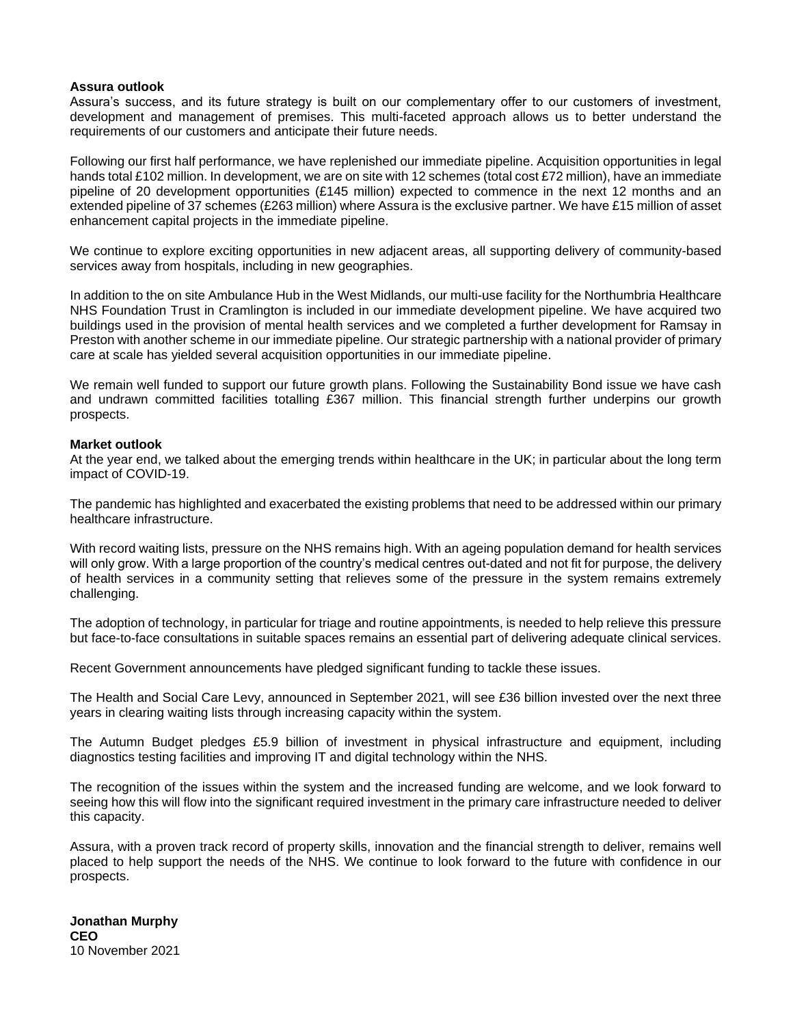#### **Assura outlook**

Assura's success, and its future strategy is built on our complementary offer to our customers of investment, development and management of premises. This multi-faceted approach allows us to better understand the requirements of our customers and anticipate their future needs.

Following our first half performance, we have replenished our immediate pipeline. Acquisition opportunities in legal hands total £102 million. In development, we are on site with 12 schemes (total cost £72 million), have an immediate pipeline of 20 development opportunities (£145 million) expected to commence in the next 12 months and an extended pipeline of 37 schemes (£263 million) where Assura is the exclusive partner. We have £15 million of asset enhancement capital projects in the immediate pipeline.

We continue to explore exciting opportunities in new adjacent areas, all supporting delivery of community-based services away from hospitals, including in new geographies.

In addition to the on site Ambulance Hub in the West Midlands, our multi-use facility for the Northumbria Healthcare NHS Foundation Trust in Cramlington is included in our immediate development pipeline. We have acquired two buildings used in the provision of mental health services and we completed a further development for Ramsay in Preston with another scheme in our immediate pipeline. Our strategic partnership with a national provider of primary care at scale has yielded several acquisition opportunities in our immediate pipeline.

We remain well funded to support our future growth plans. Following the Sustainability Bond issue we have cash and undrawn committed facilities totalling £367 million. This financial strength further underpins our growth prospects.

#### **Market outlook**

At the year end, we talked about the emerging trends within healthcare in the UK; in particular about the long term impact of COVID-19.

The pandemic has highlighted and exacerbated the existing problems that need to be addressed within our primary healthcare infrastructure.

With record waiting lists, pressure on the NHS remains high. With an ageing population demand for health services will only grow. With a large proportion of the country's medical centres out-dated and not fit for purpose, the delivery of health services in a community setting that relieves some of the pressure in the system remains extremely challenging.

The adoption of technology, in particular for triage and routine appointments, is needed to help relieve this pressure but face-to-face consultations in suitable spaces remains an essential part of delivering adequate clinical services.

Recent Government announcements have pledged significant funding to tackle these issues.

The Health and Social Care Levy, announced in September 2021, will see £36 billion invested over the next three years in clearing waiting lists through increasing capacity within the system.

The Autumn Budget pledges £5.9 billion of investment in physical infrastructure and equipment, including diagnostics testing facilities and improving IT and digital technology within the NHS.

The recognition of the issues within the system and the increased funding are welcome, and we look forward to seeing how this will flow into the significant required investment in the primary care infrastructure needed to deliver this capacity.

Assura, with a proven track record of property skills, innovation and the financial strength to deliver, remains well placed to help support the needs of the NHS. We continue to look forward to the future with confidence in our prospects.

**Jonathan Murphy CEO** 10 November 2021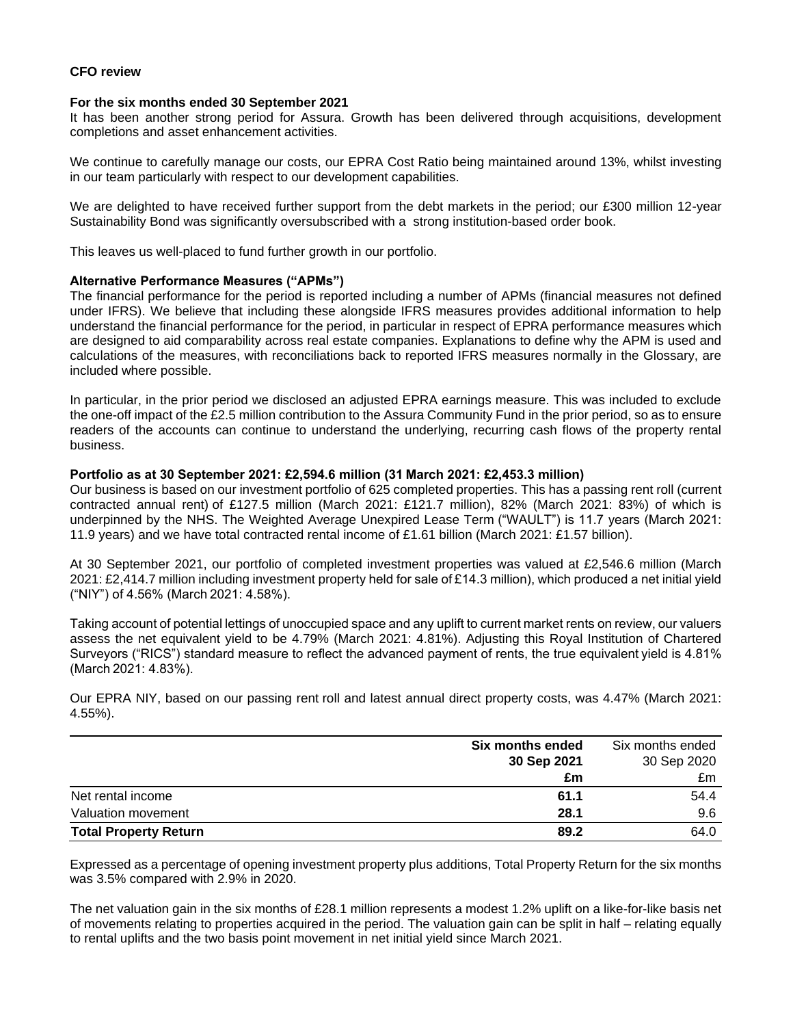### **CFO review**

#### **For the six months ended 30 September 2021**

It has been another strong period for Assura. Growth has been delivered through acquisitions, development completions and asset enhancement activities.

We continue to carefully manage our costs, our EPRA Cost Ratio being maintained around 13%, whilst investing in our team particularly with respect to our development capabilities.

We are delighted to have received further support from the debt markets in the period; our £300 million 12-year Sustainability Bond was significantly oversubscribed with a strong institution-based order book.

This leaves us well-placed to fund further growth in our portfolio.

### **Alternative Performance Measures ("APMs")**

The financial performance for the period is reported including a number of APMs (financial measures not defined under IFRS). We believe that including these alongside IFRS measures provides additional information to help understand the financial performance for the period, in particular in respect of EPRA performance measures which are designed to aid comparability across real estate companies. Explanations to define why the APM is used and calculations of the measures, with reconciliations back to reported IFRS measures normally in the Glossary, are included where possible.

In particular, in the prior period we disclosed an adjusted EPRA earnings measure. This was included to exclude the one-off impact of the £2.5 million contribution to the Assura Community Fund in the prior period, so as to ensure readers of the accounts can continue to understand the underlying, recurring cash flows of the property rental business.

#### **Portfolio as at 30 September 2021: £2,594.6 million (31 March 2021: £2,453.3 million)**

Our business is based on our investment portfolio of 625 completed properties. This has a passing rent roll (current contracted annual rent) of £127.5 million (March 2021: £121.7 million), 82% (March 2021: 83%) of which is underpinned by the NHS. The Weighted Average Unexpired Lease Term ("WAULT") is 11.7 years (March 2021: 11.9 years) and we have total contracted rental income of £1.61 billion (March 2021: £1.57 billion).

At 30 September 2021, our portfolio of completed investment properties was valued at £2,546.6 million (March 2021: £2,414.7 million including investment property held for sale of £14.3 million), which produced a net initial yield ("NIY") of 4.56% (March 2021: 4.58%).

Taking account of potential lettings of unoccupied space and any uplift to current market rents on review, our valuers assess the net equivalent yield to be 4.79% (March 2021: 4.81%). Adjusting this Royal Institution of Chartered Surveyors ("RICS") standard measure to reflect the advanced payment of rents, the true equivalent yield is 4.81% (March 2021: 4.83%).

Our EPRA NIY, based on our passing rent roll and latest annual direct property costs, was 4.47% (March 2021: 4.55%).

|                              | Six months ended | Six months ended |
|------------------------------|------------------|------------------|
|                              | 30 Sep 2021      | 30 Sep 2020      |
|                              | £m               | £m               |
| Net rental income            | 61.1             | 54.4             |
| Valuation movement           | 28.1             | 9.6              |
| <b>Total Property Return</b> | 89.2             | 64.0             |

Expressed as a percentage of opening investment property plus additions, Total Property Return for the six months was 3.5% compared with 2.9% in 2020.

The net valuation gain in the six months of £28.1 million represents a modest 1.2% uplift on a like-for-like basis net of movements relating to properties acquired in the period. The valuation gain can be split in half – relating equally to rental uplifts and the two basis point movement in net initial yield since March 2021.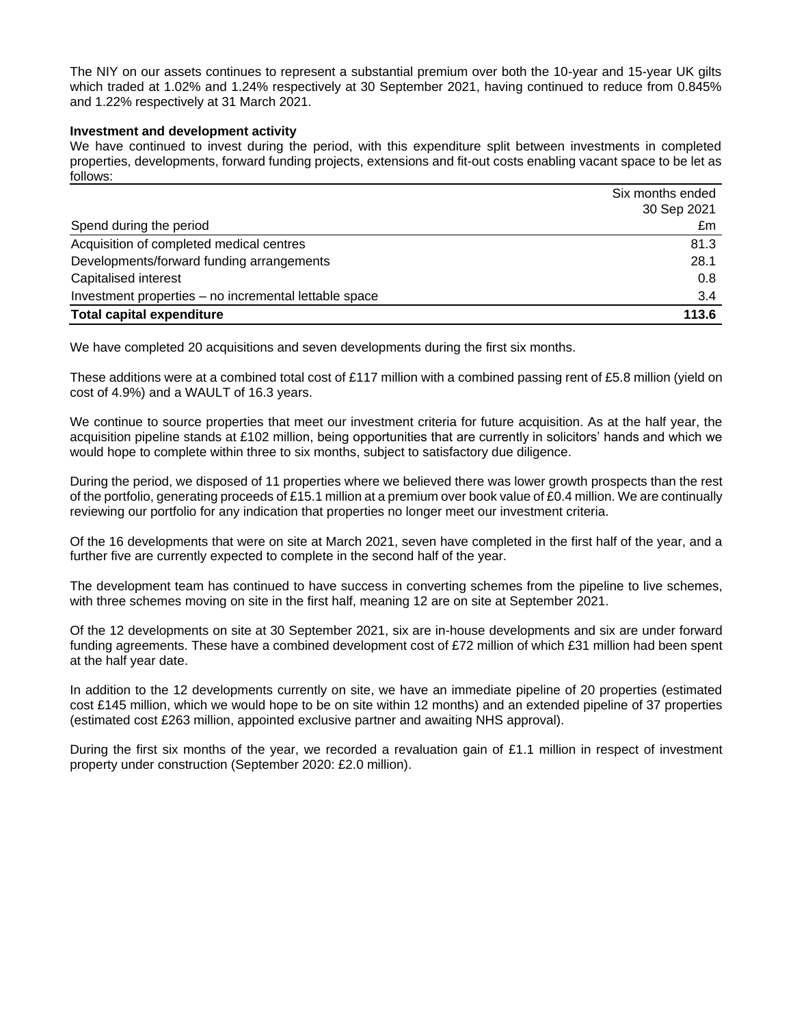The NIY on our assets continues to represent a substantial premium over both the 10-year and 15-year UK gilts which traded at 1.02% and 1.24% respectively at 30 September 2021, having continued to reduce from 0.845% and 1.22% respectively at 31 March 2021.

### **Investment and development activity**

We have continued to invest during the period, with this expenditure split between investments in completed properties, developments, forward funding projects, extensions and fit-out costs enabling vacant space to be let as follows:

|                                                       | Six months ended |
|-------------------------------------------------------|------------------|
|                                                       | 30 Sep 2021      |
| Spend during the period                               | £m               |
| Acquisition of completed medical centres              | 81.3             |
| Developments/forward funding arrangements             | 28.1             |
| Capitalised interest                                  | 0.8              |
| Investment properties – no incremental lettable space | 3.4              |
| <b>Total capital expenditure</b>                      | 113.6            |

We have completed 20 acquisitions and seven developments during the first six months.

These additions were at a combined total cost of £117 million with a combined passing rent of £5.8 million (yield on cost of 4.9%) and a WAULT of 16.3 years.

We continue to source properties that meet our investment criteria for future acquisition. As at the half year, the acquisition pipeline stands at £102 million, being opportunities that are currently in solicitors' hands and which we would hope to complete within three to six months, subject to satisfactory due diligence.

During the period, we disposed of 11 properties where we believed there was lower growth prospects than the rest of the portfolio, generating proceeds of £15.1 million at a premium over book value of £0.4 million. We are continually reviewing our portfolio for any indication that properties no longer meet our investment criteria.

Of the 16 developments that were on site at March 2021, seven have completed in the first half of the year, and a further five are currently expected to complete in the second half of the year.

The development team has continued to have success in converting schemes from the pipeline to live schemes, with three schemes moving on site in the first half, meaning 12 are on site at September 2021.

Of the 12 developments on site at 30 September 2021, six are in-house developments and six are under forward funding agreements. These have a combined development cost of £72 million of which £31 million had been spent at the half year date.

In addition to the 12 developments currently on site, we have an immediate pipeline of 20 properties (estimated cost £145 million, which we would hope to be on site within 12 months) and an extended pipeline of 37 properties (estimated cost £263 million, appointed exclusive partner and awaiting NHS approval).

During the first six months of the year, we recorded a revaluation gain of £1.1 million in respect of investment property under construction (September 2020: £2.0 million).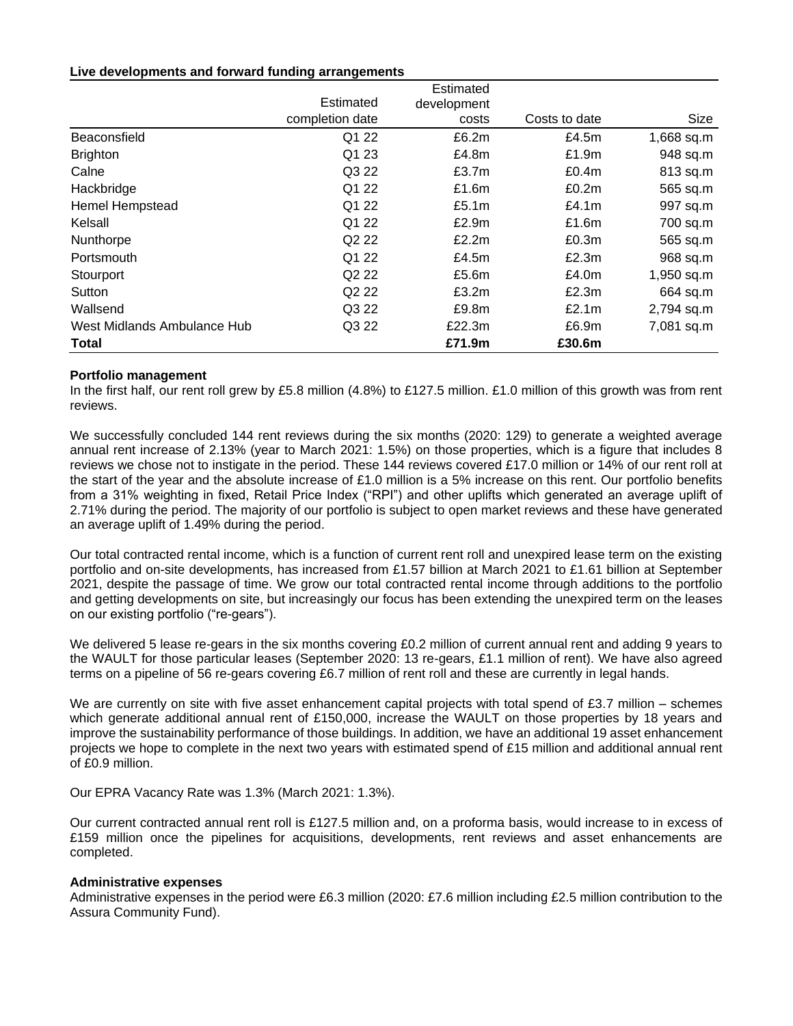### **Live developments and forward funding arrangements**

|                             |                               | Estimated   |               |            |
|-----------------------------|-------------------------------|-------------|---------------|------------|
|                             | Estimated                     | development |               |            |
|                             | completion date               | costs       | Costs to date | Size       |
| Beaconsfield                | Q1 22                         | £6.2m       | £4.5m         | 1,668 sq.m |
| <b>Brighton</b>             | Q1 23                         | £4.8m       | £1.9m         | 948 sq.m   |
| Calne                       | Q3 22                         | £3.7m       | £0.4m         | 813 sq.m   |
| Hackbridge                  | Q1 22                         | £1.6m       | £0.2m         | 565 sq.m   |
| <b>Hemel Hempstead</b>      | Q1 22                         | £5.1m       | £4.1m         | 997 sq.m   |
| Kelsall                     | Q1 22                         | £2.9m       | £1.6 $m$      | 700 sq.m   |
| Nunthorpe                   | Q2 22                         | £2.2m       | £0.3m         | 565 sq.m   |
| Portsmouth                  | Q1 22                         | £4.5m       | £2.3m         | 968 sq.m   |
| Stourport                   | Q <sub>2</sub> 2 <sub>2</sub> | £5.6m       | £4.0 $m$      | 1,950 sq.m |
| Sutton                      | Q <sub>2</sub> 2 <sub>2</sub> | £3.2m       | £2.3m         | 664 sq.m   |
| Wallsend                    | Q3 22                         | £9.8m       | £2.1m         | 2,794 sq.m |
| West Midlands Ambulance Hub | Q3 22                         | £22.3m      | £6.9m         | 7,081 sq.m |
| <b>Total</b>                |                               | £71.9m      | £30.6m        |            |

## **Portfolio management**

In the first half, our rent roll grew by £5.8 million (4.8%) to £127.5 million. £1.0 million of this growth was from rent reviews.

We successfully concluded 144 rent reviews during the six months (2020: 129) to generate a weighted average annual rent increase of 2.13% (year to March 2021: 1.5%) on those properties, which is a figure that includes 8 reviews we chose not to instigate in the period. These 144 reviews covered £17.0 million or 14% of our rent roll at the start of the year and the absolute increase of £1.0 million is a 5% increase on this rent. Our portfolio benefits from a 31% weighting in fixed, Retail Price Index ("RPI") and other uplifts which generated an average uplift of 2.71% during the period. The majority of our portfolio is subject to open market reviews and these have generated an average uplift of 1.49% during the period.

Our total contracted rental income, which is a function of current rent roll and unexpired lease term on the existing portfolio and on-site developments, has increased from £1.57 billion at March 2021 to £1.61 billion at September 2021, despite the passage of time. We grow our total contracted rental income through additions to the portfolio and getting developments on site, but increasingly our focus has been extending the unexpired term on the leases on our existing portfolio ("re-gears").

We delivered 5 lease re-gears in the six months covering £0.2 million of current annual rent and adding 9 years to the WAULT for those particular leases (September 2020: 13 re-gears, £1.1 million of rent). We have also agreed terms on a pipeline of 56 re-gears covering £6.7 million of rent roll and these are currently in legal hands.

We are currently on site with five asset enhancement capital projects with total spend of  $£3.7$  million – schemes which generate additional annual rent of £150,000, increase the WAULT on those properties by 18 years and improve the sustainability performance of those buildings. In addition, we have an additional 19 asset enhancement projects we hope to complete in the next two years with estimated spend of £15 million and additional annual rent of £0.9 million.

Our EPRA Vacancy Rate was 1.3% (March 2021: 1.3%).

Our current contracted annual rent roll is £127.5 million and, on a proforma basis, would increase to in excess of £159 million once the pipelines for acquisitions, developments, rent reviews and asset enhancements are completed.

### **Administrative expenses**

Administrative expenses in the period were £6.3 million (2020: £7.6 million including £2.5 million contribution to the Assura Community Fund).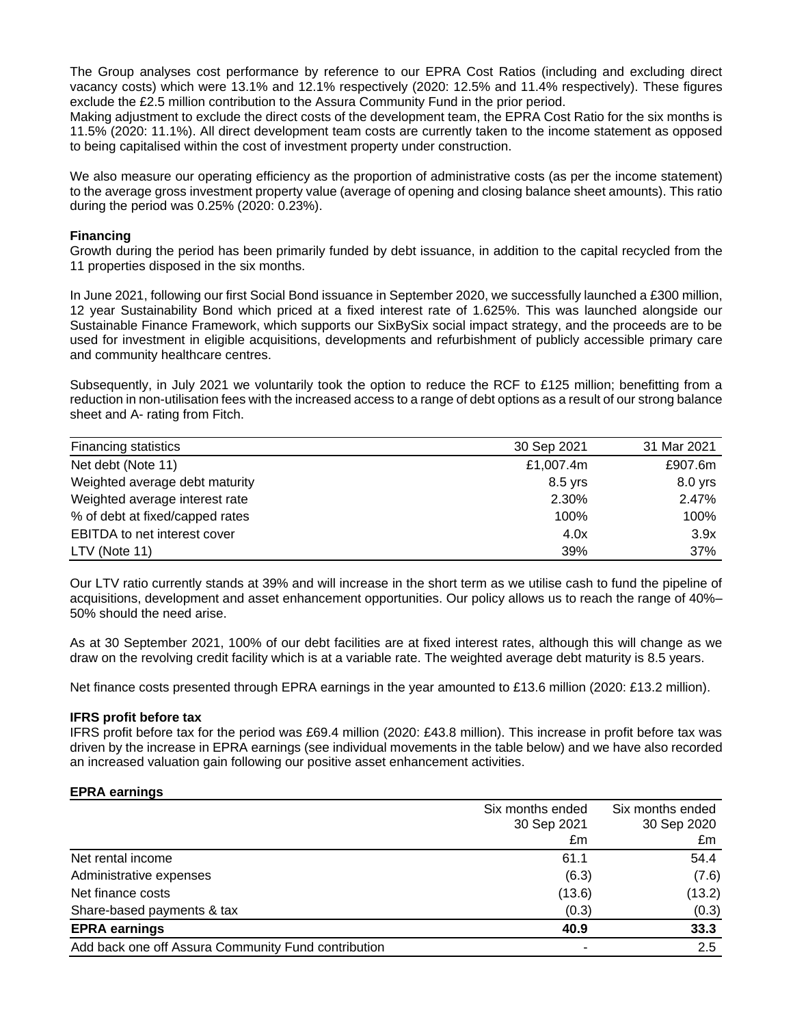The Group analyses cost performance by reference to our EPRA Cost Ratios (including and excluding direct vacancy costs) which were 13.1% and 12.1% respectively (2020: 12.5% and 11.4% respectively). These figures exclude the £2.5 million contribution to the Assura Community Fund in the prior period.

Making adjustment to exclude the direct costs of the development team, the EPRA Cost Ratio for the six months is 11.5% (2020: 11.1%). All direct development team costs are currently taken to the income statement as opposed to being capitalised within the cost of investment property under construction.

We also measure our operating efficiency as the proportion of administrative costs (as per the income statement) to the average gross investment property value (average of opening and closing balance sheet amounts). This ratio during the period was 0.25% (2020: 0.23%).

### **Financing**

Growth during the period has been primarily funded by debt issuance, in addition to the capital recycled from the 11 properties disposed in the six months.

In June 2021, following our first Social Bond issuance in September 2020, we successfully launched a £300 million, 12 year Sustainability Bond which priced at a fixed interest rate of 1.625%. This was launched alongside our Sustainable Finance Framework, which supports our SixBySix social impact strategy, and the proceeds are to be used for investment in eligible acquisitions, developments and refurbishment of publicly accessible primary care and community healthcare centres.

Subsequently, in July 2021 we voluntarily took the option to reduce the RCF to £125 million; benefitting from a reduction in non-utilisation fees with the increased access to a range of debt options as a result of our strong balance sheet and A- rating from Fitch.

| <b>Financing statistics</b>         | 30 Sep 2021 | 31 Mar 2021 |
|-------------------------------------|-------------|-------------|
| Net debt (Note 11)                  | £1,007.4m   | £907.6m     |
| Weighted average debt maturity      | $8.5$ yrs   | $8.0$ yrs   |
| Weighted average interest rate      | 2.30%       | 2.47%       |
| % of debt at fixed/capped rates     | 100%        | 100%        |
| <b>EBITDA</b> to net interest cover | 4.0x        | 3.9x        |
| $LTV$ (Note 11)                     | 39%         | 37%         |

Our LTV ratio currently stands at 39% and will increase in the short term as we utilise cash to fund the pipeline of acquisitions, development and asset enhancement opportunities. Our policy allows us to reach the range of 40%– 50% should the need arise.

As at 30 September 2021, 100% of our debt facilities are at fixed interest rates, although this will change as we draw on the revolving credit facility which is at a variable rate. The weighted average debt maturity is 8.5 years.

Net finance costs presented through EPRA earnings in the year amounted to £13.6 million (2020: £13.2 million).

### **IFRS profit before tax**

IFRS profit before tax for the period was £69.4 million (2020: £43.8 million). This increase in profit before tax was driven by the increase in EPRA earnings (see individual movements in the table below) and we have also recorded an increased valuation gain following our positive asset enhancement activities.

#### **EPRA earnings**

|                                                     | Six months ended | Six months ended |
|-----------------------------------------------------|------------------|------------------|
|                                                     | 30 Sep 2021      | 30 Sep 2020      |
|                                                     | £m               | £m               |
| Net rental income                                   | 61.1             | 54.4             |
| Administrative expenses                             | (6.3)            | (7.6)            |
| Net finance costs                                   | (13.6)           | (13.2)           |
| Share-based payments & tax                          | (0.3)            | (0.3)            |
| <b>EPRA earnings</b>                                | 40.9             | 33.3             |
| Add back one off Assura Community Fund contribution |                  | 2.5              |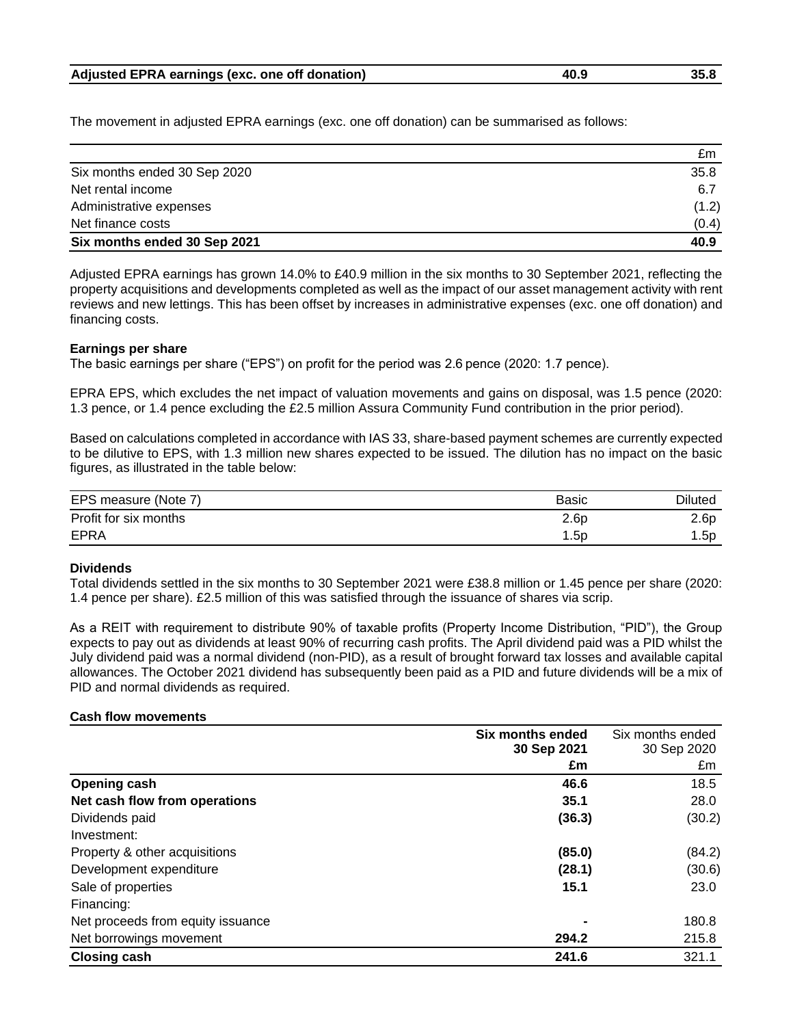| Adjusted EPRA earnings (exc. one off donation) | 40.9 | 35.8 |
|------------------------------------------------|------|------|
|------------------------------------------------|------|------|

The movement in adjusted EPRA earnings (exc. one off donation) can be summarised as follows:

|                              | £m    |
|------------------------------|-------|
| Six months ended 30 Sep 2020 | 35.8  |
| Net rental income            | 6.7   |
| Administrative expenses      | (1.2) |
| Net finance costs            | (0.4) |
| Six months ended 30 Sep 2021 | 40.9  |

Adjusted EPRA earnings has grown 14.0% to £40.9 million in the six months to 30 September 2021, reflecting the property acquisitions and developments completed as well as the impact of our asset management activity with rent reviews and new lettings. This has been offset by increases in administrative expenses (exc. one off donation) and financing costs.

### **Earnings per share**

The basic earnings per share ("EPS") on profit for the period was 2.6 pence (2020: 1.7 pence).

EPRA EPS, which excludes the net impact of valuation movements and gains on disposal, was 1.5 pence (2020: 1.3 pence, or 1.4 pence excluding the £2.5 million Assura Community Fund contribution in the prior period).

Based on calculations completed in accordance with IAS 33, share-based payment schemes are currently expected to be dilutive to EPS, with 1.3 million new shares expected to be issued. The dilution has no impact on the basic figures, as illustrated in the table below:

| EPS measure (Note 7)  | <b>Basic</b> | <b>Diluted</b> |
|-----------------------|--------------|----------------|
| Profit for six months | 2.6p         | 2.6p           |
| <b>EPRA</b>           | 1.5p         | 1.5p           |

### **Dividends**

Total dividends settled in the six months to 30 September 2021 were £38.8 million or 1.45 pence per share (2020: 1.4 pence per share). £2.5 million of this was satisfied through the issuance of shares via scrip.

As a REIT with requirement to distribute 90% of taxable profits (Property Income Distribution, "PID"), the Group expects to pay out as dividends at least 90% of recurring cash profits. The April dividend paid was a PID whilst the July dividend paid was a normal dividend (non-PID), as a result of brought forward tax losses and available capital allowances. The October 2021 dividend has subsequently been paid as a PID and future dividends will be a mix of PID and normal dividends as required.

### **Cash flow movements**

|                                   | Six months ended | Six months ended |
|-----------------------------------|------------------|------------------|
|                                   | 30 Sep 2021      | 30 Sep 2020      |
|                                   | £m               | £m               |
| Opening cash                      | 46.6             | 18.5             |
| Net cash flow from operations     | 35.1             | 28.0             |
| Dividends paid                    | (36.3)           | (30.2)           |
| Investment:                       |                  |                  |
| Property & other acquisitions     | (85.0)           | (84.2)           |
| Development expenditure           | (28.1)           | (30.6)           |
| Sale of properties                | 15.1             | 23.0             |
| Financing:                        |                  |                  |
| Net proceeds from equity issuance |                  | 180.8            |
| Net borrowings movement           | 294.2            | 215.8            |
| <b>Closing cash</b>               | 241.6            | 321.1            |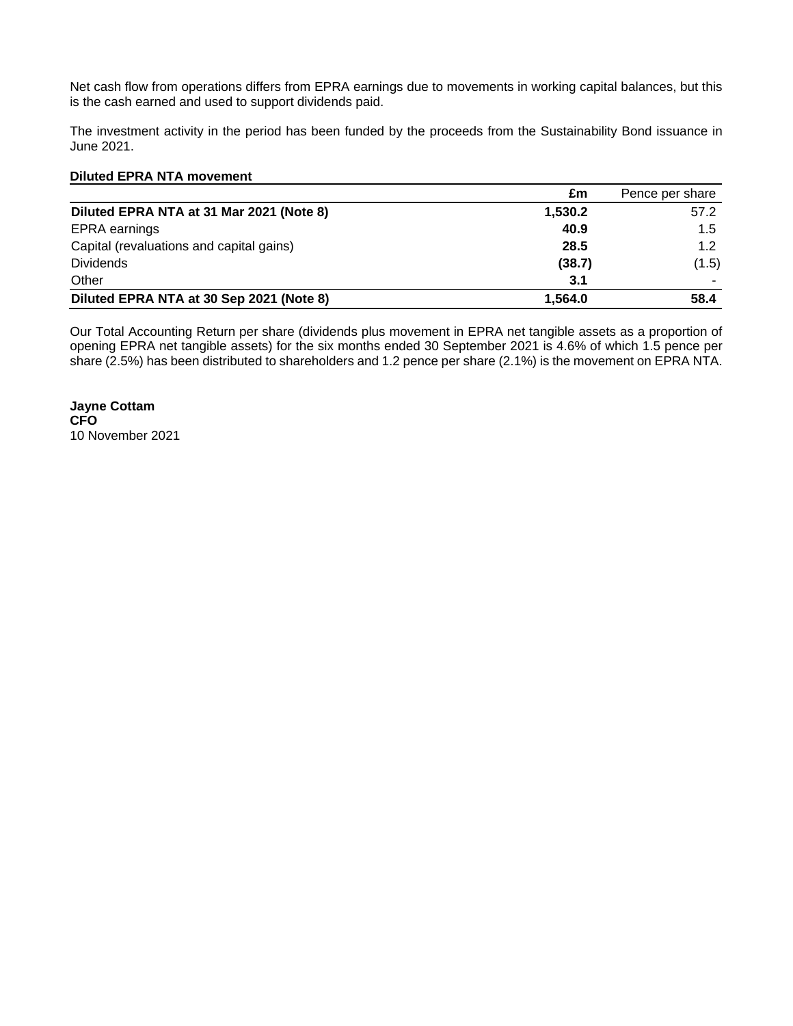Net cash flow from operations differs from EPRA earnings due to movements in working capital balances, but this is the cash earned and used to support dividends paid.

The investment activity in the period has been funded by the proceeds from the Sustainability Bond issuance in June 2021.

### **Diluted EPRA NTA movement**

|                                          | £m      | Pence per share |
|------------------------------------------|---------|-----------------|
| Diluted EPRA NTA at 31 Mar 2021 (Note 8) | 1,530.2 | 57.2            |
| <b>EPRA</b> earnings                     | 40.9    | 1.5             |
| Capital (revaluations and capital gains) | 28.5    | 1.2             |
| <b>Dividends</b>                         | (38.7)  | (1.5)           |
| Other                                    | 3.1     |                 |
| Diluted EPRA NTA at 30 Sep 2021 (Note 8) | 1.564.0 | 58.4            |

Our Total Accounting Return per share (dividends plus movement in EPRA net tangible assets as a proportion of opening EPRA net tangible assets) for the six months ended 30 September 2021 is 4.6% of which 1.5 pence per share (2.5%) has been distributed to shareholders and 1.2 pence per share (2.1%) is the movement on EPRA NTA.

**Jayne Cottam CFO** 10 November 2021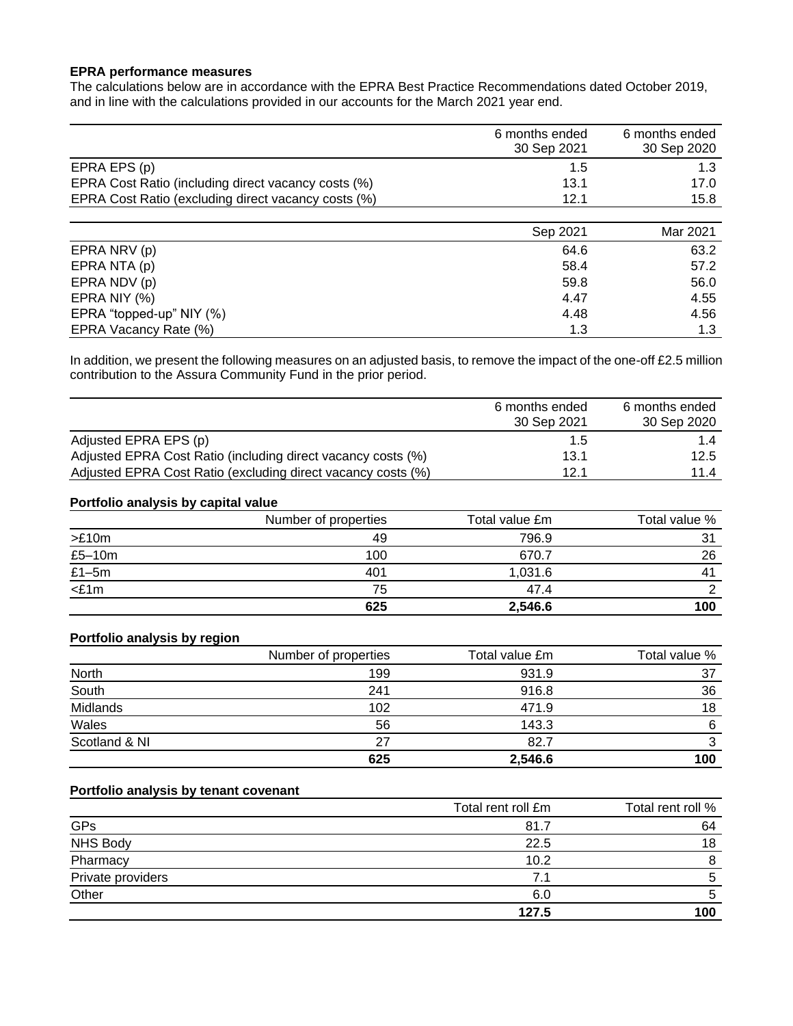## **EPRA performance measures**

The calculations below are in accordance with the EPRA Best Practice Recommendations dated October 2019, and in line with the calculations provided in our accounts for the March 2021 year end.

|                                                     | 6 months ended<br>30 Sep 2021 | 6 months ended<br>30 Sep 2020 |
|-----------------------------------------------------|-------------------------------|-------------------------------|
| EPRA EPS (p)                                        | 1.5                           |                               |
| EPRA Cost Ratio (including direct vacancy costs (%) | 13.1                          | 17.0                          |
| EPRA Cost Ratio (excluding direct vacancy costs (%) | 12.1                          | 15.8                          |
|                                                     |                               |                               |

|                          | Sep 2021 | Mar 2021 |
|--------------------------|----------|----------|
| EPRA NRV (p)             | 64.6     | 63.2     |
| EPRA NTA (p)             | 58.4     | 57.2     |
| EPRA NDV (p)             | 59.8     | 56.0     |
| EPRA NIY (%)             | 4.47     | 4.55     |
| EPRA "topped-up" NIY (%) | 4.48     | 4.56     |
| EPRA Vacancy Rate (%)    | 1.3      | 1.3      |

In addition, we present the following measures on an adjusted basis, to remove the impact of the one-off £2.5 million contribution to the Assura Community Fund in the prior period.

|                                                              | 6 months ended | 6 months ended |
|--------------------------------------------------------------|----------------|----------------|
|                                                              | 30 Sep 2021    | 30 Sep 2020    |
| Adjusted EPRA EPS (p)                                        | 1.5            | 1.4            |
| Adjusted EPRA Cost Ratio (including direct vacancy costs (%) | 13.1           | 12.5           |
| Adjusted EPRA Cost Ratio (excluding direct vacancy costs (%) | 12.1           | 11.4           |

#### **Portfolio analysis by capital value**

|          | Number of properties | Total value £m | Total value % |
|----------|----------------------|----------------|---------------|
| >E10m    | 49                   | 796.9          | 31            |
| $£5-10m$ | 100                  | 670.7          | 26            |
| $£1-5m$  | 401                  | 1.031.6        |               |
| $<$ £1m  | 75                   | 47.4           |               |
|          | 625                  | 2,546.6        | 100           |

## **Portfolio analysis by region**

|               | Number of properties | Total value £m | Total value % |
|---------------|----------------------|----------------|---------------|
| <b>North</b>  | 199                  | 931.9          | 37            |
| South         | 241                  | 916.8          | 36            |
| Midlands      | 102                  | 471.9          | 18            |
| Wales         | 56                   | 143.3          | 6             |
| Scotland & NI | 27                   | 82.7           | ົ             |
|               | 625                  | 2,546.6        | 100           |

## **Portfolio analysis by tenant covenant**

|                   | Total rent roll £m | Total rent roll % |
|-------------------|--------------------|-------------------|
| GPs               | 81.7               | 64                |
| <b>NHS Body</b>   | 22.5               | 18                |
| Pharmacy          | 10.2               |                   |
| Private providers | 7.1                |                   |
| Other             | 6.0                |                   |
|                   | 127.5              | 100               |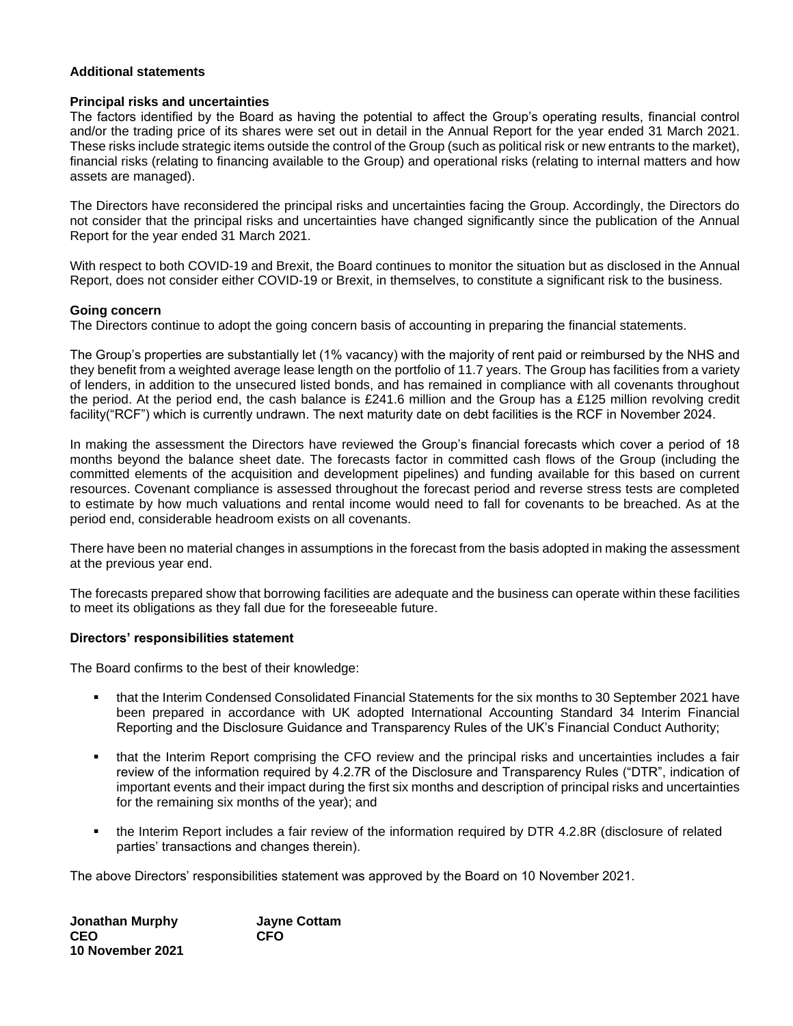### **Additional statements**

### **Principal risks and uncertainties**

The factors identified by the Board as having the potential to affect the Group's operating results, financial control and/or the trading price of its shares were set out in detail in the Annual Report for the year ended 31 March 2021. These risks include strategic items outside the control of the Group (such as political risk or new entrants to the market), financial risks (relating to financing available to the Group) and operational risks (relating to internal matters and how assets are managed).

The Directors have reconsidered the principal risks and uncertainties facing the Group. Accordingly, the Directors do not consider that the principal risks and uncertainties have changed significantly since the publication of the Annual Report for the year ended 31 March 2021.

With respect to both COVID-19 and Brexit, the Board continues to monitor the situation but as disclosed in the Annual Report, does not consider either COVID-19 or Brexit, in themselves, to constitute a significant risk to the business.

### **Going concern**

The Directors continue to adopt the going concern basis of accounting in preparing the financial statements.

The Group's properties are substantially let (1% vacancy) with the majority of rent paid or reimbursed by the NHS and they benefit from a weighted average lease length on the portfolio of 11.7 years. The Group has facilities from a variety of lenders, in addition to the unsecured listed bonds, and has remained in compliance with all covenants throughout the period. At the period end, the cash balance is £241.6 million and the Group has a £125 million revolving credit facility("RCF") which is currently undrawn. The next maturity date on debt facilities is the RCF in November 2024.

In making the assessment the Directors have reviewed the Group's financial forecasts which cover a period of 18 months beyond the balance sheet date. The forecasts factor in committed cash flows of the Group (including the committed elements of the acquisition and development pipelines) and funding available for this based on current resources. Covenant compliance is assessed throughout the forecast period and reverse stress tests are completed to estimate by how much valuations and rental income would need to fall for covenants to be breached. As at the period end, considerable headroom exists on all covenants.

There have been no material changes in assumptions in the forecast from the basis adopted in making the assessment at the previous year end.

The forecasts prepared show that borrowing facilities are adequate and the business can operate within these facilities to meet its obligations as they fall due for the foreseeable future.

### **Directors' responsibilities statement**

The Board confirms to the best of their knowledge:

- that the Interim Condensed Consolidated Financial Statements for the six months to 30 September 2021 have been prepared in accordance with UK adopted International Accounting Standard 34 Interim Financial Reporting and the Disclosure Guidance and Transparency Rules of the UK's Financial Conduct Authority;
- that the Interim Report comprising the CFO review and the principal risks and uncertainties includes a fair review of the information required by 4.2.7R of the Disclosure and Transparency Rules ("DTR", indication of important events and their impact during the first six months and description of principal risks and uncertainties for the remaining six months of the year); and
- the Interim Report includes a fair review of the information required by DTR 4.2.8R (disclosure of related parties' transactions and changes therein).

The above Directors' responsibilities statement was approved by the Board on 10 November 2021.

| <b>Jonathan Murphy</b> |  |
|------------------------|--|
| <b>CEO</b>             |  |
| 10 November 2021       |  |

**Jayne Cottam CEO CFO**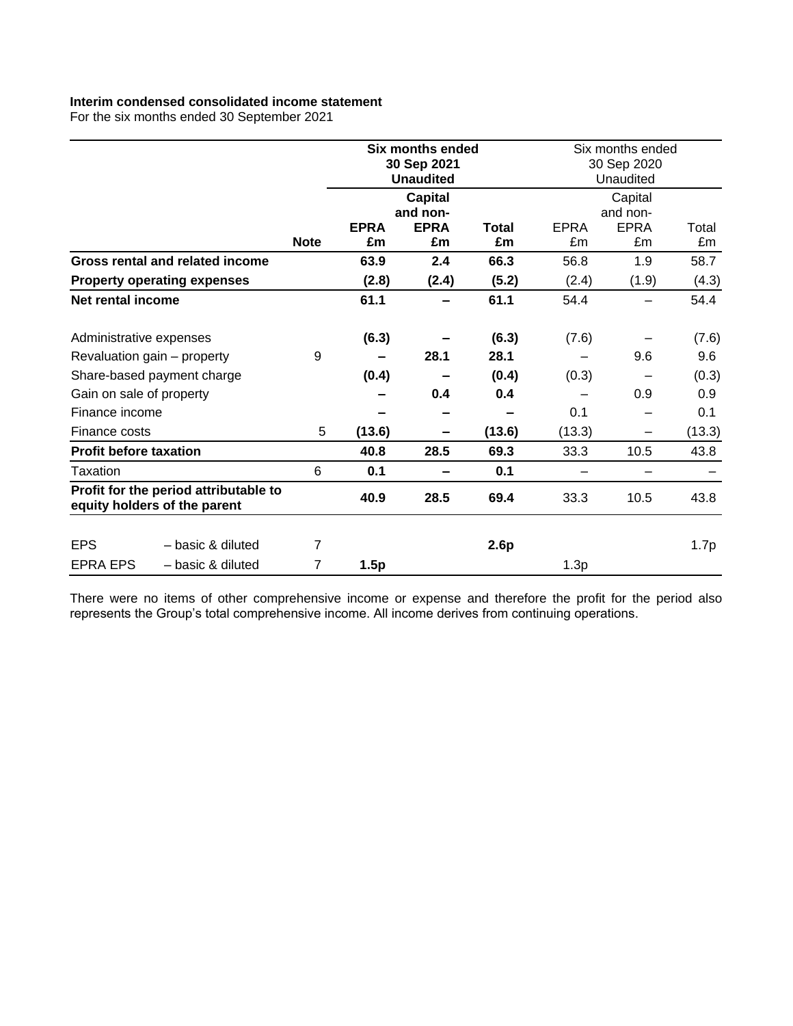## **Interim condensed consolidated income statement**

For the six months ended 30 September 2021

|                               |                                                                       |             | <b>Six months ended</b><br>30 Sep 2021<br><b>Unaudited</b> |                   |             | Six months ended<br>30 Sep 2020<br>Unaudited |                   |             |
|-------------------------------|-----------------------------------------------------------------------|-------------|------------------------------------------------------------|-------------------|-------------|----------------------------------------------|-------------------|-------------|
|                               |                                                                       |             |                                                            | <b>Capital</b>    |             |                                              | Capital           |             |
|                               |                                                                       |             |                                                            | and non-          |             |                                              | and non-          |             |
|                               |                                                                       | <b>Note</b> | <b>EPRA</b><br>£m                                          | <b>EPRA</b><br>£m | Total<br>£m | <b>EPRA</b><br>£m                            | <b>EPRA</b><br>£m | Total<br>£m |
|                               | Gross rental and related income                                       |             | 63.9                                                       | 2.4               | 66.3        | 56.8                                         | 1.9               | 58.7        |
|                               | <b>Property operating expenses</b>                                    |             | (2.8)                                                      | (2.4)             | (5.2)       | (2.4)                                        | (1.9)             | (4.3)       |
| Net rental income             |                                                                       |             | 61.1                                                       |                   | 61.1        | 54.4                                         |                   | 54.4        |
| Administrative expenses       |                                                                       |             | (6.3)                                                      |                   | (6.3)       | (7.6)                                        |                   | (7.6)       |
|                               | Revaluation gain - property                                           | 9           |                                                            | 28.1              | 28.1        |                                              | 9.6               | 9.6         |
|                               | Share-based payment charge                                            |             | (0.4)                                                      |                   | (0.4)       | (0.3)                                        |                   | (0.3)       |
| Gain on sale of property      |                                                                       |             |                                                            | 0.4               | 0.4         |                                              | 0.9               | 0.9         |
| Finance income                |                                                                       |             |                                                            |                   |             | 0.1                                          |                   | 0.1         |
| Finance costs                 |                                                                       | 5           | (13.6)                                                     |                   | (13.6)      | (13.3)                                       | -                 | (13.3)      |
| <b>Profit before taxation</b> |                                                                       |             | 40.8                                                       | 28.5              | 69.3        | 33.3                                         | 10.5              | 43.8        |
| Taxation                      |                                                                       | 6           | 0.1                                                        | -                 | 0.1         |                                              |                   |             |
|                               | Profit for the period attributable to<br>equity holders of the parent |             | 40.9                                                       | 28.5              | 69.4        | 33.3                                         | 10.5              | 43.8        |
| <b>EPS</b>                    | - basic & diluted                                                     | 7           |                                                            |                   | 2.6p        |                                              |                   | 1.7p        |
| <b>EPRA EPS</b>               | - basic & diluted                                                     | 7           | 1.5p                                                       |                   |             | 1.3p                                         |                   |             |

There were no items of other comprehensive income or expense and therefore the profit for the period also represents the Group's total comprehensive income. All income derives from continuing operations.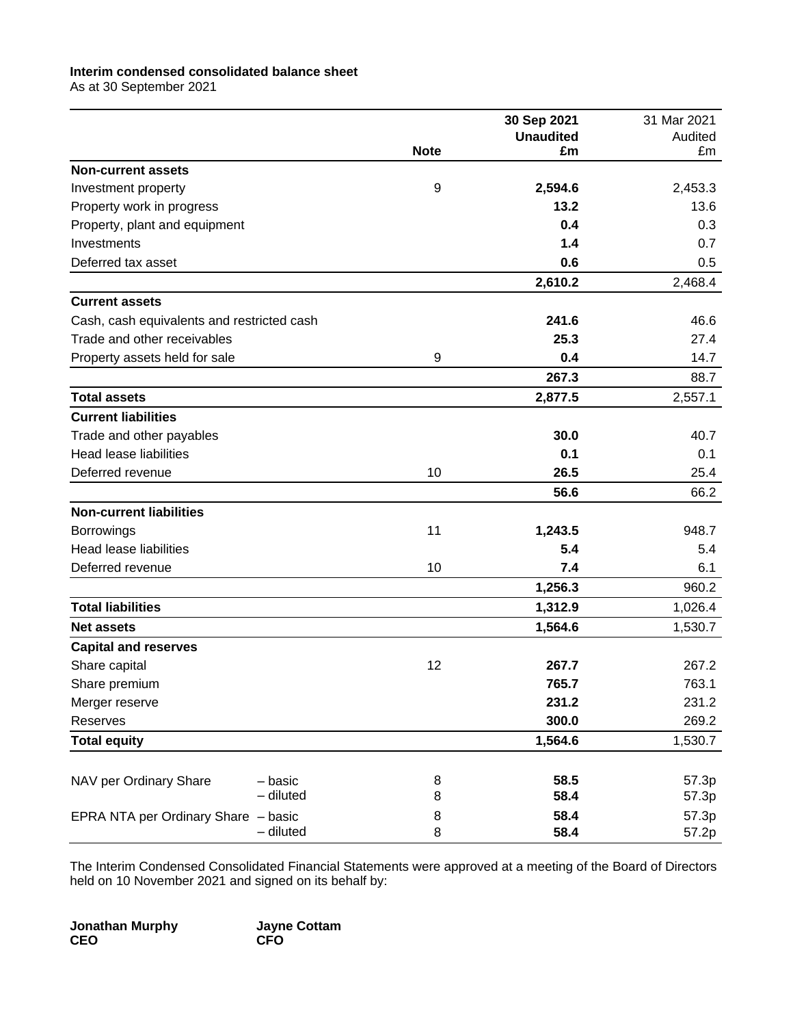## **Interim condensed consolidated balance sheet**

As at 30 September 2021

|                                            |             | 30 Sep 2021      | 31 Mar 2021 |
|--------------------------------------------|-------------|------------------|-------------|
|                                            |             | <b>Unaudited</b> | Audited     |
| <b>Non-current assets</b>                  | <b>Note</b> | £m               | £m          |
| Investment property                        | 9           | 2,594.6          | 2,453.3     |
| Property work in progress                  |             | 13.2             | 13.6        |
| Property, plant and equipment              |             | 0.4              | 0.3         |
| Investments                                |             | 1.4              | 0.7         |
| Deferred tax asset                         |             | 0.6              | 0.5         |
|                                            |             | 2,610.2          | 2,468.4     |
| <b>Current assets</b>                      |             |                  |             |
| Cash, cash equivalents and restricted cash |             | 241.6            | 46.6        |
| Trade and other receivables                |             | 25.3             | 27.4        |
| Property assets held for sale              | 9           | 0.4              | 14.7        |
|                                            |             | 267.3            | 88.7        |
| <b>Total assets</b>                        |             | 2,877.5          | 2,557.1     |
| <b>Current liabilities</b>                 |             |                  |             |
| Trade and other payables                   |             | 30.0             | 40.7        |
| <b>Head lease liabilities</b>              |             | 0.1              | 0.1         |
| Deferred revenue                           | 10          | 26.5             | 25.4        |
|                                            |             | 56.6             | 66.2        |
| <b>Non-current liabilities</b>             |             |                  |             |
| <b>Borrowings</b>                          | 11          | 1,243.5          | 948.7       |
| <b>Head lease liabilities</b>              |             | 5.4              | 5.4         |
| Deferred revenue                           | 10          | 7.4              | 6.1         |
|                                            |             | 1,256.3          | 960.2       |
| <b>Total liabilities</b>                   |             | 1,312.9          | 1,026.4     |
| <b>Net assets</b>                          |             | 1,564.6          | 1,530.7     |
| <b>Capital and reserves</b>                |             |                  |             |
| Share capital                              | 12          | 267.7            | 267.2       |
| Share premium                              |             | 765.7            | 763.1       |
| Merger reserve                             |             | 231.2            | 231.2       |
| Reserves                                   |             | 300.0            | 269.2       |
| <b>Total equity</b>                        |             | 1,564.6          | 1,530.7     |
|                                            |             |                  |             |
| NAV per Ordinary Share<br>- basic          | 8           | 58.5             | 57.3p       |
| - diluted                                  | 8           | 58.4             | 57.3p       |
| EPRA NTA per Ordinary Share - basic        | 8           | 58.4             | 57.3p       |
| - diluted                                  | 8           | 58.4             | 57.2p       |

The Interim Condensed Consolidated Financial Statements were approved at a meeting of the Board of Directors held on 10 November 2021 and signed on its behalf by:

**Jonathan Murphy Jayne Cottam CEO CFO**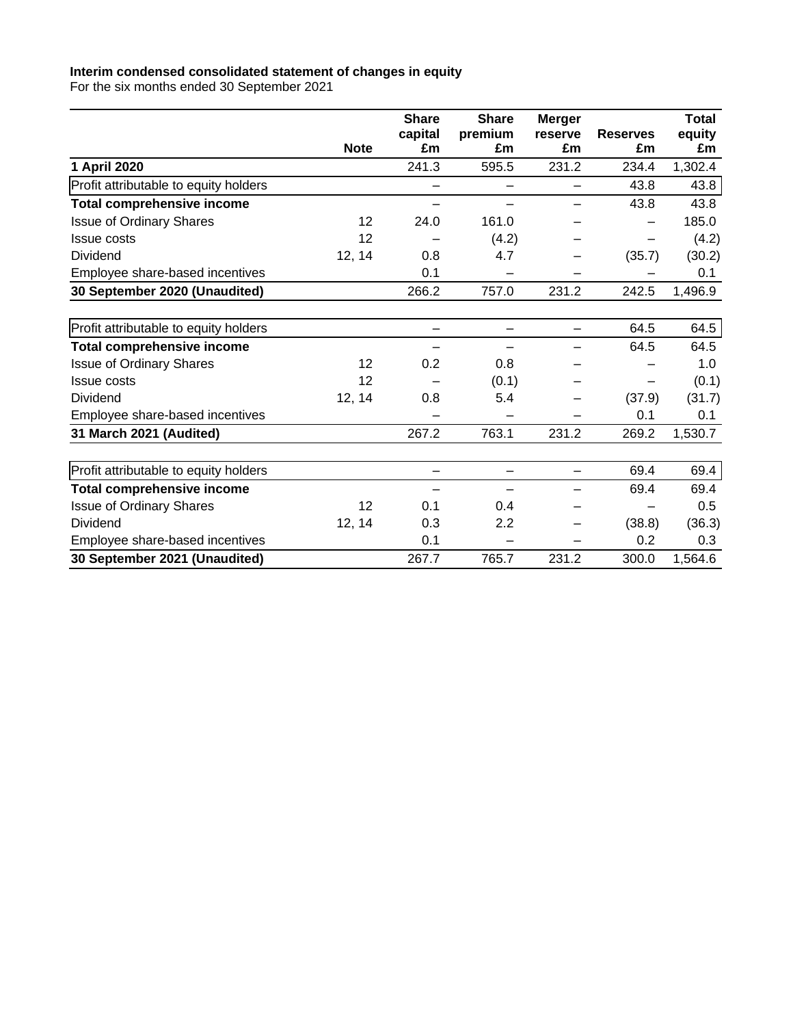### **Interim condensed consolidated statement of changes in equity**

For the six months ended 30 September 2021

|                                       |             | <b>Share</b>  | <b>Share</b>             | <b>Merger</b> |                       | <b>Total</b> |
|---------------------------------------|-------------|---------------|--------------------------|---------------|-----------------------|--------------|
|                                       | <b>Note</b> | capital<br>£m | premium<br>£m            | reserve<br>£m | <b>Reserves</b><br>£m | equity<br>£m |
|                                       |             | 241.3         | 595.5                    | 231.2         | 234.4                 |              |
| 1 April 2020                          |             |               |                          |               |                       | 1,302.4      |
| Profit attributable to equity holders |             |               | $\overline{\phantom{0}}$ | -             | 43.8                  | 43.8         |
| <b>Total comprehensive income</b>     |             |               |                          |               | 43.8                  | 43.8         |
| <b>Issue of Ordinary Shares</b>       | 12          | 24.0          | 161.0                    |               |                       | 185.0        |
| <b>Issue costs</b>                    | 12          |               | (4.2)                    |               |                       | (4.2)        |
| <b>Dividend</b>                       | 12, 14      | 0.8           | 4.7                      |               | (35.7)                | (30.2)       |
| Employee share-based incentives       |             | 0.1           |                          |               |                       | 0.1          |
| 30 September 2020 (Unaudited)         |             | 266.2         | 757.0                    | 231.2         | 242.5                 | 1,496.9      |
|                                       |             |               |                          |               |                       |              |
| Profit attributable to equity holders |             |               |                          |               | 64.5                  | 64.5         |
| <b>Total comprehensive income</b>     |             |               |                          |               | 64.5                  | 64.5         |
| <b>Issue of Ordinary Shares</b>       | 12          | 0.2           | 0.8                      |               |                       | 1.0          |
| <b>Issue costs</b>                    | 12          |               | (0.1)                    |               | -                     | (0.1)        |
| Dividend                              | 12, 14      | 0.8           | 5.4                      |               | (37.9)                | (31.7)       |
| Employee share-based incentives       |             |               |                          |               | 0.1                   | 0.1          |
| 31 March 2021 (Audited)               |             | 267.2         | 763.1                    | 231.2         | 269.2                 | 1,530.7      |
|                                       |             |               |                          |               |                       |              |
| Profit attributable to equity holders |             |               | —                        | -             | 69.4                  | 69.4         |
| <b>Total comprehensive income</b>     |             |               |                          |               | 69.4                  | 69.4         |
| <b>Issue of Ordinary Shares</b>       | 12          | 0.1           | 0.4                      |               |                       | 0.5          |
| Dividend                              | 12, 14      | 0.3           | 2.2                      |               | (38.8)                | (36.3)       |
| Employee share-based incentives       |             | 0.1           |                          |               | 0.2                   | 0.3          |
| 30 September 2021 (Unaudited)         |             | 267.7         | 765.7                    | 231.2         | 300.0                 | 1,564.6      |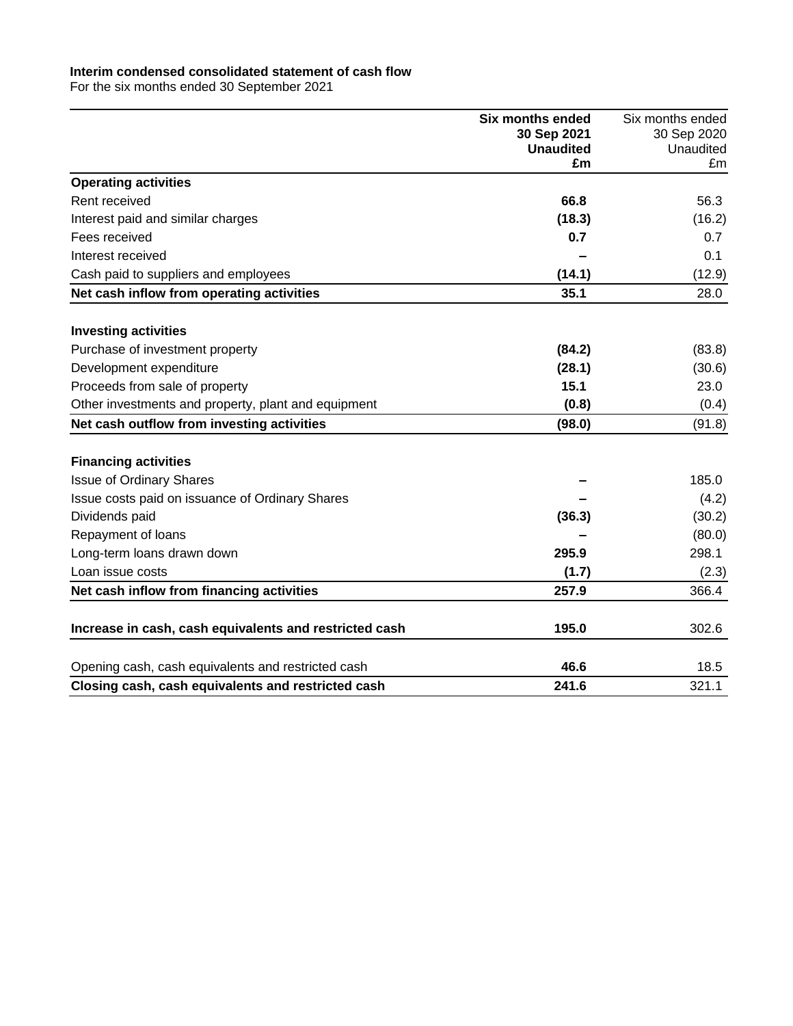#### **Interim condensed consolidated statement of cash flow**

For the six months ended 30 September 2021

|                                                        | <b>Six months ended</b> | Six months ended |
|--------------------------------------------------------|-------------------------|------------------|
|                                                        | 30 Sep 2021             | 30 Sep 2020      |
|                                                        | <b>Unaudited</b><br>£m  | Unaudited<br>£m  |
| <b>Operating activities</b>                            |                         |                  |
| Rent received                                          | 66.8                    | 56.3             |
| Interest paid and similar charges                      | (18.3)                  | (16.2)           |
| Fees received                                          | 0.7                     | 0.7              |
| Interest received                                      |                         | 0.1              |
| Cash paid to suppliers and employees                   | (14.1)                  | (12.9)           |
| Net cash inflow from operating activities              | 35.1                    | 28.0             |
| <b>Investing activities</b>                            |                         |                  |
| Purchase of investment property                        | (84.2)                  | (83.8)           |
| Development expenditure                                | (28.1)                  | (30.6)           |
| Proceeds from sale of property                         | 15.1                    | 23.0             |
| Other investments and property, plant and equipment    | (0.8)                   | (0.4)            |
| Net cash outflow from investing activities             | (98.0)                  | (91.8)           |
| <b>Financing activities</b>                            |                         |                  |
| <b>Issue of Ordinary Shares</b>                        |                         | 185.0            |
| Issue costs paid on issuance of Ordinary Shares        |                         | (4.2)            |
| Dividends paid                                         | (36.3)                  | (30.2)           |
| Repayment of loans                                     |                         | (80.0)           |
| Long-term loans drawn down                             | 295.9                   | 298.1            |
| Loan issue costs                                       | (1.7)                   | (2.3)            |
| Net cash inflow from financing activities              | 257.9                   | 366.4            |
|                                                        |                         |                  |
| Increase in cash, cash equivalents and restricted cash | 195.0                   | 302.6            |
| Opening cash, cash equivalents and restricted cash     | 46.6                    | 18.5             |
| Closing cash, cash equivalents and restricted cash     | 241.6                   | 321.1            |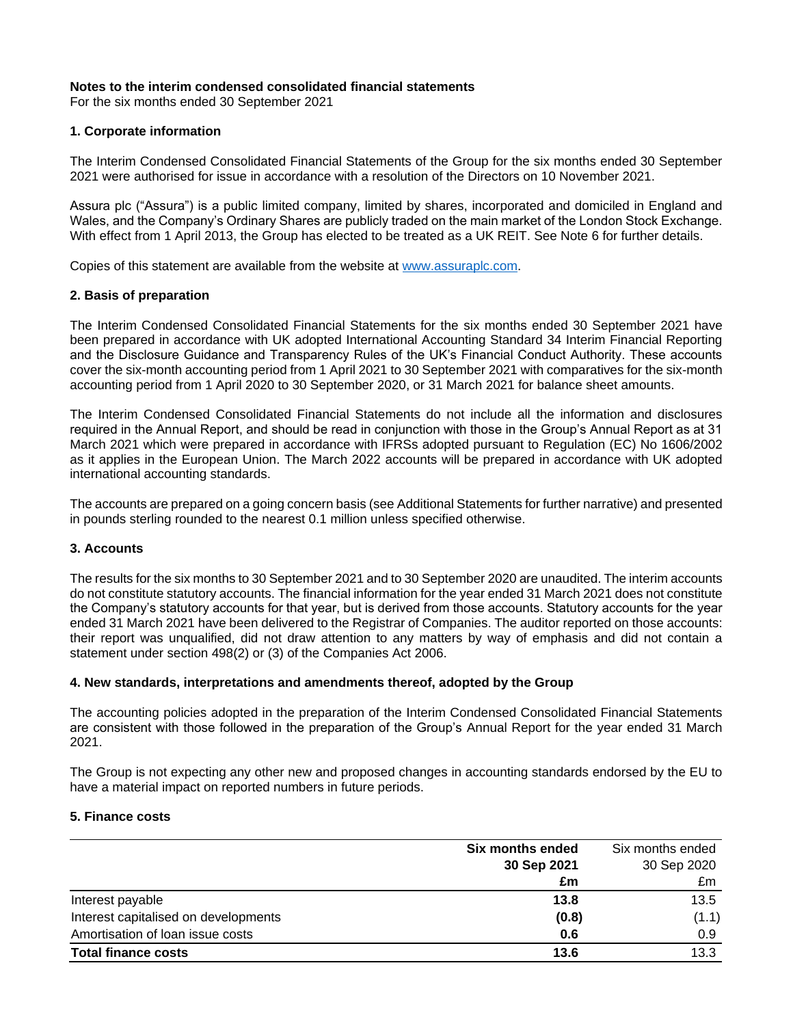### **Notes to the interim condensed consolidated financial statements**

For the six months ended 30 September 2021

### **1. Corporate information**

The Interim Condensed Consolidated Financial Statements of the Group for the six months ended 30 September 2021 were authorised for issue in accordance with a resolution of the Directors on 10 November 2021.

Assura plc ("Assura") is a public limited company, limited by shares, incorporated and domiciled in England and Wales, and the Company's Ordinary Shares are publicly traded on the main market of the London Stock Exchange. With effect from 1 April 2013, the Group has elected to be treated as a UK REIT. See Note 6 for further details.

Copies of this statement are available from the website at [www.assuraplc.com.](http://www.assuraplc.com/)

### **2. Basis of preparation**

The Interim Condensed Consolidated Financial Statements for the six months ended 30 September 2021 have been prepared in accordance with UK adopted International Accounting Standard 34 Interim Financial Reporting and the Disclosure Guidance and Transparency Rules of the UK's Financial Conduct Authority. These accounts cover the six-month accounting period from 1 April 2021 to 30 September 2021 with comparatives for the six-month accounting period from 1 April 2020 to 30 September 2020, or 31 March 2021 for balance sheet amounts.

The Interim Condensed Consolidated Financial Statements do not include all the information and disclosures required in the Annual Report, and should be read in conjunction with those in the Group's Annual Report as at 31 March 2021 which were prepared in accordance with IFRSs adopted pursuant to Regulation (EC) No 1606/2002 as it applies in the European Union. The March 2022 accounts will be prepared in accordance with UK adopted international accounting standards.

The accounts are prepared on a going concern basis (see Additional Statements for further narrative) and presented in pounds sterling rounded to the nearest 0.1 million unless specified otherwise.

### **3. Accounts**

The results for the six months to 30 September 2021 and to 30 September 2020 are unaudited. The interim accounts do not constitute statutory accounts. The financial information for the year ended 31 March 2021 does not constitute the Company's statutory accounts for that year, but is derived from those accounts. Statutory accounts for the year ended 31 March 2021 have been delivered to the Registrar of Companies. The auditor reported on those accounts: their report was unqualified, did not draw attention to any matters by way of emphasis and did not contain a statement under section 498(2) or (3) of the Companies Act 2006.

### **4. New standards, interpretations and amendments thereof, adopted by the Group**

The accounting policies adopted in the preparation of the Interim Condensed Consolidated Financial Statements are consistent with those followed in the preparation of the Group's Annual Report for the year ended 31 March 2021.

The Group is not expecting any other new and proposed changes in accounting standards endorsed by the EU to have a material impact on reported numbers in future periods.

### **5. Finance costs**

|                                      | Six months ended | Six months ended |
|--------------------------------------|------------------|------------------|
|                                      | 30 Sep 2021      | 30 Sep 2020      |
|                                      | £m               | £m               |
| Interest payable                     | 13.8             | 13.5             |
| Interest capitalised on developments | (0.8)            | (1.1)            |
| Amortisation of loan issue costs     | 0.6              | 0.9              |
| <b>Total finance costs</b>           | 13.6             | 13.3             |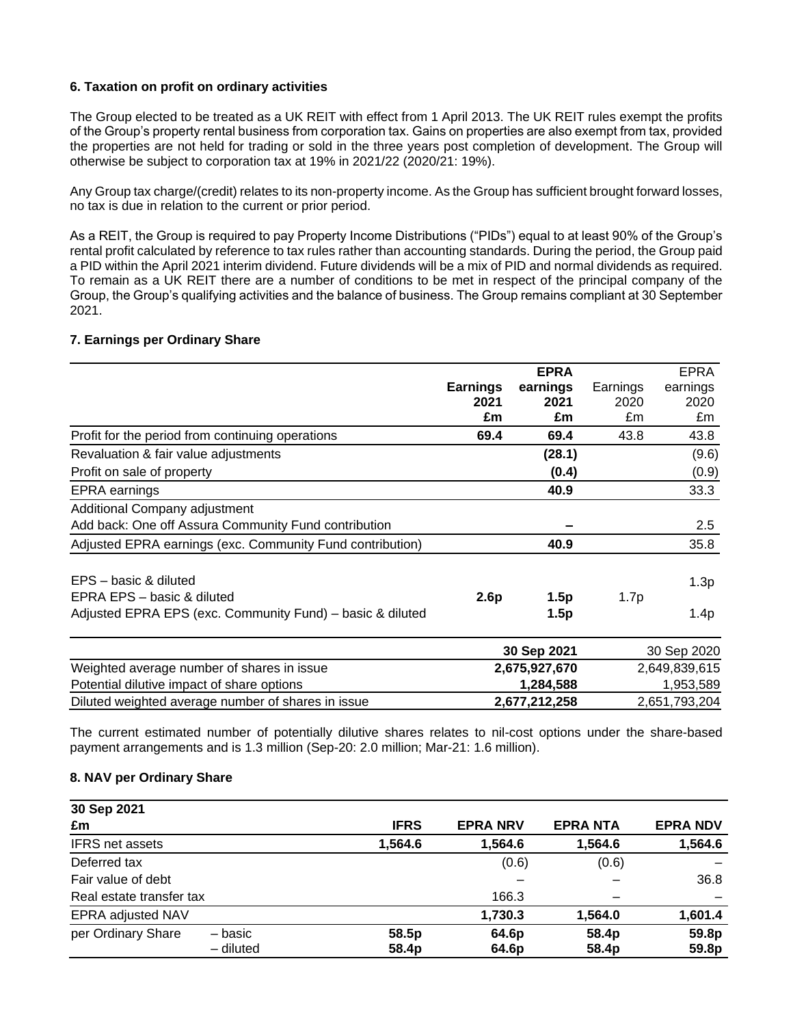## **6. Taxation on profit on ordinary activities**

The Group elected to be treated as a UK REIT with effect from 1 April 2013. The UK REIT rules exempt the profits of the Group's property rental business from corporation tax. Gains on properties are also exempt from tax, provided the properties are not held for trading or sold in the three years post completion of development. The Group will otherwise be subject to corporation tax at 19% in 2021/22 (2020/21: 19%).

Any Group tax charge/(credit) relates to its non-property income. As the Group has sufficient brought forward losses, no tax is due in relation to the current or prior period.

As a REIT, the Group is required to pay Property Income Distributions ("PIDs") equal to at least 90% of the Group's rental profit calculated by reference to tax rules rather than accounting standards. During the period, the Group paid a PID within the April 2021 interim dividend. Future dividends will be a mix of PID and normal dividends as required. To remain as a UK REIT there are a number of conditions to be met in respect of the principal company of the Group, the Group's qualifying activities and the balance of business. The Group remains compliant at 30 September 2021.

## **7. Earnings per Ordinary Share**

|                                                           |                 | <b>EPRA</b>   |          | <b>EPRA</b>   |
|-----------------------------------------------------------|-----------------|---------------|----------|---------------|
|                                                           | <b>Earnings</b> | earnings      | Earnings | earnings      |
|                                                           | 2021            | 2021          | 2020     | 2020          |
|                                                           | £m              | £m            | £m       | £m            |
| Profit for the period from continuing operations          | 69.4            | 69.4          | 43.8     | 43.8          |
| Revaluation & fair value adjustments                      |                 | (28.1)        |          | (9.6)         |
| Profit on sale of property                                |                 | (0.4)         |          | (0.9)         |
| EPRA earnings                                             |                 | 40.9          |          | 33.3          |
| Additional Company adjustment                             |                 |               |          |               |
| Add back: One off Assura Community Fund contribution      |                 |               |          | 2.5           |
| Adjusted EPRA earnings (exc. Community Fund contribution) |                 | 40.9          |          | 35.8          |
| EPS – basic & diluted                                     |                 |               |          | 1.3p          |
| EPRA EPS - basic & diluted                                | 2.6p            | 1.5p          | 1.7p     |               |
| Adjusted EPRA EPS (exc. Community Fund) – basic & diluted |                 | 1.5p          |          | 1.4p          |
|                                                           |                 | 30 Sep 2021   |          | 30 Sep 2020   |
| Weighted average number of shares in issue                |                 | 2,675,927,670 |          | 2,649,839,615 |
| Potential dilutive impact of share options                |                 | 1,284,588     |          | 1,953,589     |

The current estimated number of potentially dilutive shares relates to nil-cost options under the share-based payment arrangements and is 1.3 million (Sep-20: 2.0 million; Mar-21: 1.6 million).

Diluted weighted average number of shares in issue **2,677,212,258** 2,651,793,204

### **8. NAV per Ordinary Share**

| 30 Sep 2021                   |             |                 |                |                 |
|-------------------------------|-------------|-----------------|----------------|-----------------|
| £m                            | <b>IFRS</b> | <b>EPRA NRV</b> | <b>EPRANTA</b> | <b>EPRA NDV</b> |
| IFRS net assets               | 1,564.6     | 1,564.6         | 1,564.6        | 1,564.6         |
| Deferred tax                  |             | (0.6)           | (0.6)          |                 |
| Fair value of debt            |             |                 |                | 36.8            |
| Real estate transfer tax      |             | 166.3           |                |                 |
| EPRA adjusted NAV             |             | 1,730.3         | 1,564.0        | 1,601.4         |
| per Ordinary Share<br>- basic | 58.5p       | 64.6p           | 58.4p          | 59.8p           |
| - diluted                     | 58.4p       | 64.6p           | 58.4p          | 59.8p           |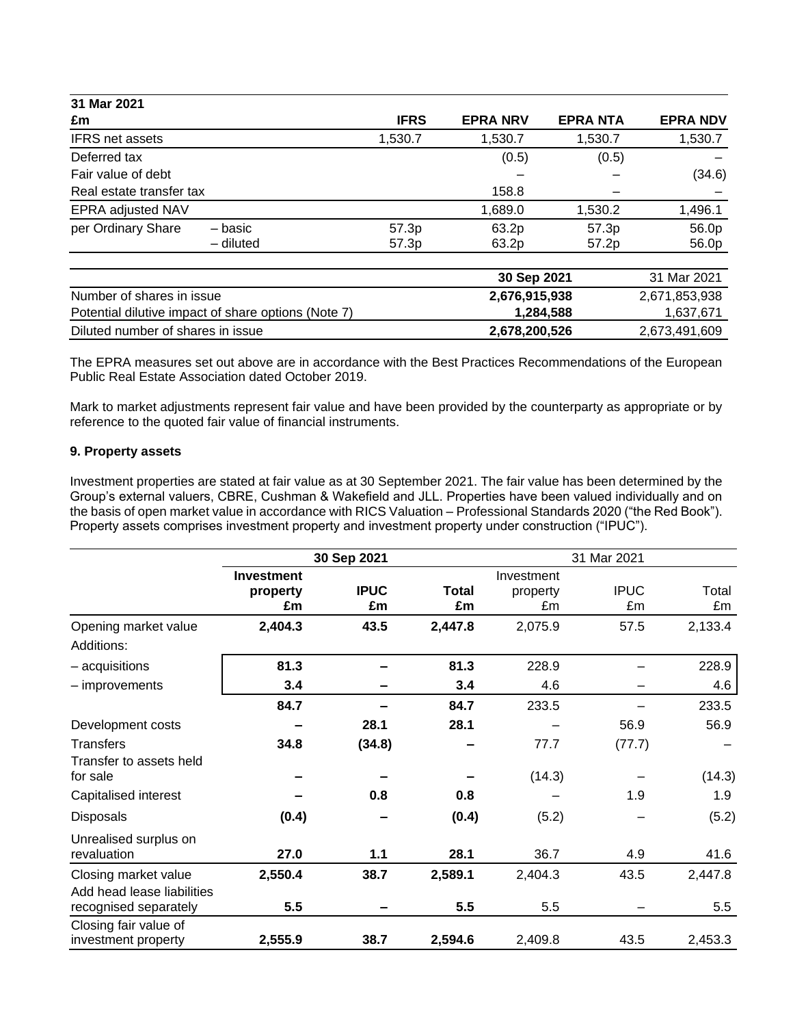| 31 Mar 2021                                         |                |                 |                |                 |
|-----------------------------------------------------|----------------|-----------------|----------------|-----------------|
| £m                                                  | <b>IFRS</b>    | <b>EPRA NRV</b> | <b>EPRANTA</b> | <b>EPRA NDV</b> |
| <b>IFRS net assets</b>                              | 1,530.7        | 1,530.7         | 1,530.7        | 1,530.7         |
| Deferred tax                                        |                | (0.5)           | (0.5)          |                 |
| Fair value of debt                                  |                |                 |                | (34.6)          |
| Real estate transfer tax                            |                | 158.8           |                |                 |
| EPRA adjusted NAV                                   |                | 1,689.0         | 1,530.2        | 1,496.1         |
| per Ordinary Share<br>– basic<br>- diluted          | 57.3p<br>57.3p | 63.2p<br>63.2p  | 57.3p<br>57.2p | 56.0p<br>56.0p  |
|                                                     |                |                 |                |                 |
|                                                     |                | 30 Sep 2021     |                | 31 Mar 2021     |
| Number of shares in issue                           |                | 2,676,915,938   |                | 2,671,853,938   |
| Potential dilutive impact of share options (Note 7) |                |                 | 1,284,588      | 1,637,671       |
| Diluted number of shares in issue                   |                | 2,678,200,526   |                | 2,673,491,609   |

The EPRA measures set out above are in accordance with the Best Practices Recommendations of the European Public Real Estate Association dated October 2019.

Mark to market adjustments represent fair value and have been provided by the counterparty as appropriate or by reference to the quoted fair value of financial instruments.

### **9. Property assets**

Investment properties are stated at fair value as at 30 September 2021. The fair value has been determined by the Group's external valuers, CBRE, Cushman & Wakefield and JLL. Properties have been valued individually and on the basis of open market value in accordance with RICS Valuation – Professional Standards 2020 ("the Red Book"). Property assets comprises investment property and investment property under construction ("IPUC").

|                                                     | 30 Sep 2021                         |                   |             | 31 Mar 2021                  |                   |             |
|-----------------------------------------------------|-------------------------------------|-------------------|-------------|------------------------------|-------------------|-------------|
|                                                     | <b>Investment</b><br>property<br>£m | <b>IPUC</b><br>£m | Total<br>£m | Investment<br>property<br>£m | <b>IPUC</b><br>£m | Total<br>£m |
| Opening market value<br>Additions:                  | 2,404.3                             | 43.5              | 2,447.8     | 2,075.9                      | 57.5              | 2,133.4     |
| - acquisitions                                      | 81.3                                |                   | 81.3        | 228.9                        |                   | 228.9       |
| - improvements                                      | 3.4                                 |                   | 3.4         | 4.6                          |                   | 4.6         |
|                                                     | 84.7                                |                   | 84.7        | 233.5                        |                   | 233.5       |
| Development costs                                   |                                     | 28.1              | 28.1        |                              | 56.9              | 56.9        |
| <b>Transfers</b>                                    | 34.8                                | (34.8)            |             | 77.7                         | (77.7)            |             |
| Transfer to assets held<br>for sale                 |                                     |                   |             | (14.3)                       |                   | (14.3)      |
| Capitalised interest                                |                                     | 0.8               | 0.8         |                              | 1.9               | 1.9         |
| <b>Disposals</b>                                    | (0.4)                               |                   | (0.4)       | (5.2)                        |                   | (5.2)       |
| Unrealised surplus on<br>revaluation                | 27.0                                | 1.1               | 28.1        | 36.7                         | 4.9               | 41.6        |
| Closing market value                                | 2,550.4                             | 38.7              | 2,589.1     | 2,404.3                      | 43.5              | 2,447.8     |
| Add head lease liabilities<br>recognised separately | 5.5                                 |                   | 5.5         | 5.5                          |                   | 5.5         |
| Closing fair value of<br>investment property        | 2,555.9                             | 38.7              | 2,594.6     | 2,409.8                      | 43.5              | 2,453.3     |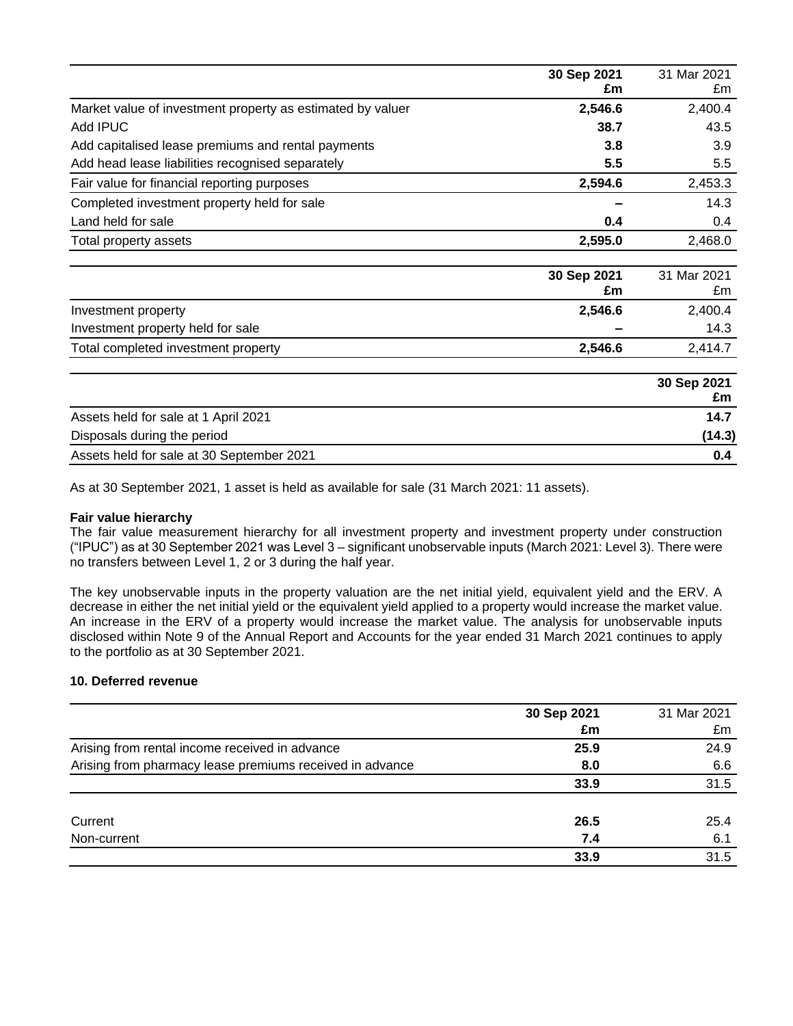|                                                            | 30 Sep 2021<br>£m | 31 Mar 2021<br>£m |
|------------------------------------------------------------|-------------------|-------------------|
|                                                            |                   |                   |
| Market value of investment property as estimated by valuer | 2,546.6           | 2,400.4           |
| Add IPUC                                                   | 38.7              | 43.5              |
| Add capitalised lease premiums and rental payments         | 3.8               | 3.9               |
| Add head lease liabilities recognised separately           | 5.5               | 5.5               |
| Fair value for financial reporting purposes                | 2,594.6           | 2,453.3           |
| Completed investment property held for sale                |                   | 14.3              |
| Land held for sale                                         | 0.4               | 0.4               |
| Total property assets                                      | 2,595.0           | 2,468.0           |
|                                                            | 30 Sep 2021<br>£m | 31 Mar 2021<br>£m |
| Investment property                                        | 2,546.6           | 2,400.4           |
| Investment property held for sale                          |                   | 14.3              |
| Total completed investment property                        | 2,546.6           | 2,414.7           |
|                                                            |                   | 30 Sep 2021<br>£m |
| Assets held for sale at 1 April 2021                       |                   | 14.7              |
| Disposals during the period                                |                   | (14.3)            |
| Assets held for sale at 30 September 2021                  |                   | 0.4               |

As at 30 September 2021, 1 asset is held as available for sale (31 March 2021: 11 assets).

### **Fair value hierarchy**

The fair value measurement hierarchy for all investment property and investment property under construction ("IPUC") as at 30 September 2021 was Level 3 – significant unobservable inputs (March 2021: Level 3). There were no transfers between Level 1, 2 or 3 during the half year.

The key unobservable inputs in the property valuation are the net initial yield, equivalent yield and the ERV. A decrease in either the net initial yield or the equivalent yield applied to a property would increase the market value. An increase in the ERV of a property would increase the market value. The analysis for unobservable inputs disclosed within Note 9 of the Annual Report and Accounts for the year ended 31 March 2021 continues to apply to the portfolio as at 30 September 2021.

### **10. Deferred revenue**

|                                                          | 30 Sep 2021 | 31 Mar 2021 |
|----------------------------------------------------------|-------------|-------------|
|                                                          | £m          | £m          |
| Arising from rental income received in advance           | 25.9        | 24.9        |
| Arising from pharmacy lease premiums received in advance | 8.0         | 6.6         |
|                                                          | 33.9        | 31.5        |
| Current                                                  | 26.5        | 25.4        |
| Non-current                                              | 7.4         | 6.1         |
|                                                          | 33.9        | 31.5        |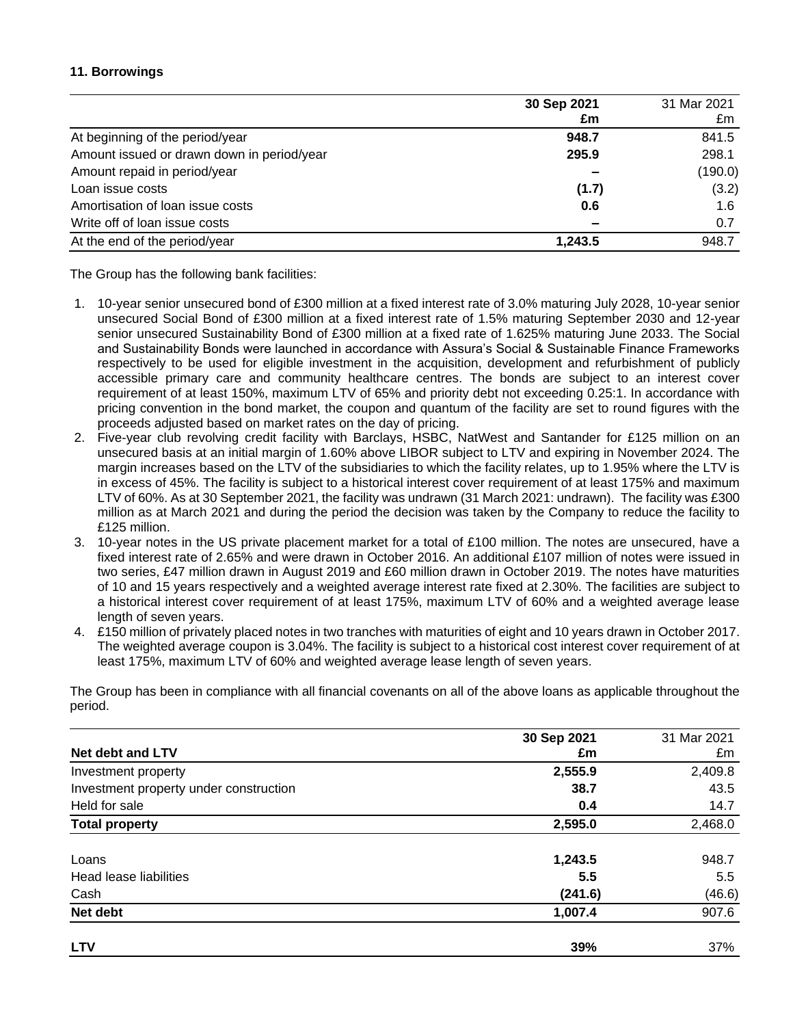## **11. Borrowings**

|                                            | 30 Sep 2021              | 31 Mar 2021 |
|--------------------------------------------|--------------------------|-------------|
|                                            | £m                       | £m          |
| At beginning of the period/year            | 948.7                    | 841.5       |
| Amount issued or drawn down in period/year | 295.9                    | 298.1       |
| Amount repaid in period/year               |                          | (190.0)     |
| Loan issue costs                           | (1.7)                    | (3.2)       |
| Amortisation of loan issue costs           | 0.6                      | 1.6         |
| Write off of loan issue costs              | $\overline{\phantom{a}}$ | 0.7         |
| At the end of the period/year              | 1,243.5                  | 948.7       |

The Group has the following bank facilities:

- 1. 10-year senior unsecured bond of £300 million at a fixed interest rate of 3.0% maturing July 2028, 10-year senior unsecured Social Bond of £300 million at a fixed interest rate of 1.5% maturing September 2030 and 12-year senior unsecured Sustainability Bond of £300 million at a fixed rate of 1.625% maturing June 2033. The Social and Sustainability Bonds were launched in accordance with Assura's Social & Sustainable Finance Frameworks respectively to be used for eligible investment in the acquisition, development and refurbishment of publicly accessible primary care and community healthcare centres. The bonds are subject to an interest cover requirement of at least 150%, maximum LTV of 65% and priority debt not exceeding 0.25:1. In accordance with pricing convention in the bond market, the coupon and quantum of the facility are set to round figures with the proceeds adjusted based on market rates on the day of pricing.
- 2. Five-year club revolving credit facility with Barclays, HSBC, NatWest and Santander for £125 million on an unsecured basis at an initial margin of 1.60% above LIBOR subject to LTV and expiring in November 2024. The margin increases based on the LTV of the subsidiaries to which the facility relates, up to 1.95% where the LTV is in excess of 45%. The facility is subject to a historical interest cover requirement of at least 175% and maximum LTV of 60%. As at 30 September 2021, the facility was undrawn (31 March 2021: undrawn). The facility was £300 million as at March 2021 and during the period the decision was taken by the Company to reduce the facility to £125 million.
- 3. 10-year notes in the US private placement market for a total of £100 million. The notes are unsecured, have a fixed interest rate of 2.65% and were drawn in October 2016. An additional £107 million of notes were issued in two series, £47 million drawn in August 2019 and £60 million drawn in October 2019. The notes have maturities of 10 and 15 years respectively and a weighted average interest rate fixed at 2.30%. The facilities are subject to a historical interest cover requirement of at least 175%, maximum LTV of 60% and a weighted average lease length of seven years.
- 4. £150 million of privately placed notes in two tranches with maturities of eight and 10 years drawn in October 2017. The weighted average coupon is 3.04%. The facility is subject to a historical cost interest cover requirement of at least 175%, maximum LTV of 60% and weighted average lease length of seven years.

The Group has been in compliance with all financial covenants on all of the above loans as applicable throughout the period.

| <b>Net debt and LTV</b>                | 30 Sep 2021<br>£m | 31 Mar 2021<br>£m |
|----------------------------------------|-------------------|-------------------|
| Investment property                    | 2,555.9           | 2,409.8           |
| Investment property under construction | 38.7              | 43.5              |
| Held for sale                          | 0.4               | 14.7              |
| <b>Total property</b>                  | 2,595.0           | 2,468.0           |
| Loans                                  | 1,243.5           | 948.7             |
| Head lease liabilities                 | 5.5               | 5.5               |
| Cash                                   | (241.6)           | (46.6)            |
| Net debt                               | 1,007.4           | 907.6             |
| <b>LTV</b>                             | 39%               | 37%               |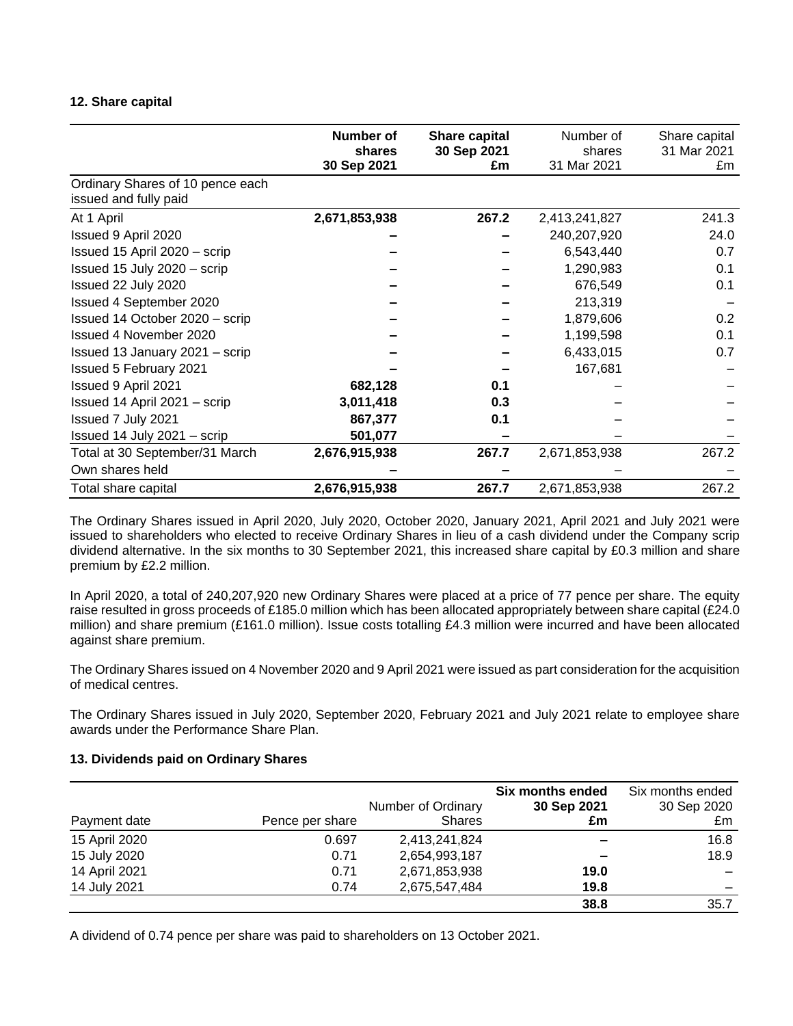#### **12. Share capital**

|                                                           | Number of<br>shares<br>30 Sep 2021 | Share capital<br>30 Sep 2021<br>£m | Number of<br>shares<br>31 Mar 2021 | Share capital<br>31 Mar 2021<br>£m |
|-----------------------------------------------------------|------------------------------------|------------------------------------|------------------------------------|------------------------------------|
| Ordinary Shares of 10 pence each<br>issued and fully paid |                                    |                                    |                                    |                                    |
| At 1 April                                                | 2,671,853,938                      | 267.2                              | 2,413,241,827                      | 241.3                              |
| Issued 9 April 2020                                       |                                    |                                    | 240,207,920                        | 24.0                               |
| Issued 15 April 2020 - scrip                              |                                    |                                    | 6,543,440                          | 0.7                                |
| Issued 15 July 2020 - scrip                               |                                    |                                    | 1,290,983                          | 0.1                                |
| Issued 22 July 2020                                       |                                    |                                    | 676,549                            | 0.1                                |
| Issued 4 September 2020                                   |                                    |                                    | 213,319                            |                                    |
| Issued 14 October 2020 - scrip                            |                                    |                                    | 1,879,606                          | 0.2                                |
| Issued 4 November 2020                                    |                                    |                                    | 1,199,598                          | 0.1                                |
| Issued 13 January 2021 - scrip                            |                                    |                                    | 6,433,015                          | 0.7                                |
| Issued 5 February 2021                                    |                                    |                                    | 167,681                            |                                    |
| Issued 9 April 2021                                       | 682,128                            | 0.1                                |                                    |                                    |
| Issued 14 April 2021 - scrip                              | 3,011,418                          | 0.3                                |                                    |                                    |
| Issued 7 July 2021                                        | 867,377                            | 0.1                                |                                    |                                    |
| Issued 14 July 2021 - scrip                               | 501,077                            |                                    |                                    |                                    |
| Total at 30 September/31 March                            | 2,676,915,938                      | 267.7                              | 2,671,853,938                      | 267.2                              |
| Own shares held                                           |                                    |                                    |                                    |                                    |
| Total share capital                                       | 2,676,915,938                      | 267.7                              | 2,671,853,938                      | 267.2                              |

The Ordinary Shares issued in April 2020, July 2020, October 2020, January 2021, April 2021 and July 2021 were issued to shareholders who elected to receive Ordinary Shares in lieu of a cash dividend under the Company scrip dividend alternative. In the six months to 30 September 2021, this increased share capital by £0.3 million and share premium by £2.2 million.

In April 2020, a total of 240,207,920 new Ordinary Shares were placed at a price of 77 pence per share. The equity raise resulted in gross proceeds of £185.0 million which has been allocated appropriately between share capital (£24.0) million) and share premium (£161.0 million). Issue costs totalling £4.3 million were incurred and have been allocated against share premium.

The Ordinary Shares issued on 4 November 2020 and 9 April 2021 were issued as part consideration for the acquisition of medical centres.

The Ordinary Shares issued in July 2020, September 2020, February 2021 and July 2021 relate to employee share awards under the Performance Share Plan.

### **13. Dividends paid on Ordinary Shares**

|               |                 |                    | Six months ended         | Six months ended |
|---------------|-----------------|--------------------|--------------------------|------------------|
|               |                 | Number of Ordinary | 30 Sep 2021              | 30 Sep 2020      |
| Payment date  | Pence per share | <b>Shares</b>      | £m                       | £m               |
| 15 April 2020 | 0.697           | 2,413,241,824      |                          | 16.8             |
| 15 July 2020  | 0.71            | 2,654,993,187      | $\overline{\phantom{a}}$ | 18.9             |
| 14 April 2021 | 0.71            | 2,671,853,938      | 19.0                     |                  |
| 14 July 2021  | 0.74            | 2,675,547,484      | 19.8                     |                  |
|               |                 |                    | 38.8                     | 35.7             |

A dividend of 0.74 pence per share was paid to shareholders on 13 October 2021.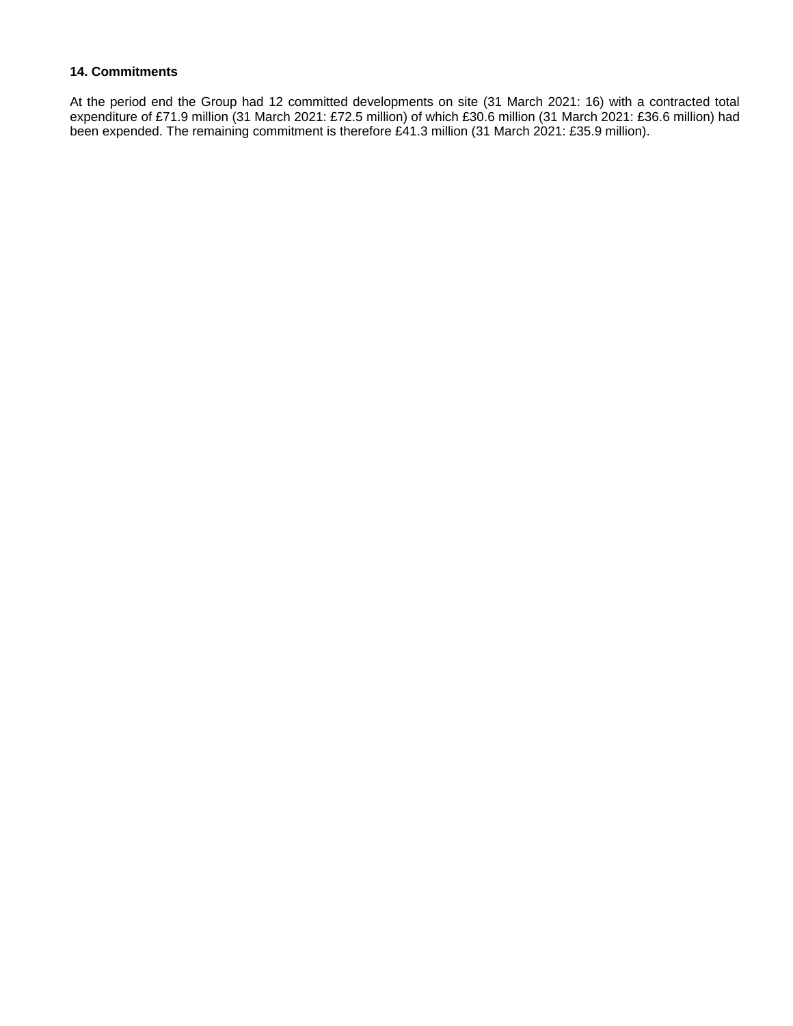## **14. Commitments**

At the period end the Group had 12 committed developments on site (31 March 2021: 16) with a contracted total expenditure of £71.9 million (31 March 2021: £72.5 million) of which £30.6 million (31 March 2021: £36.6 million) had been expended. The remaining commitment is therefore £41.3 million (31 March 2021: £35.9 million).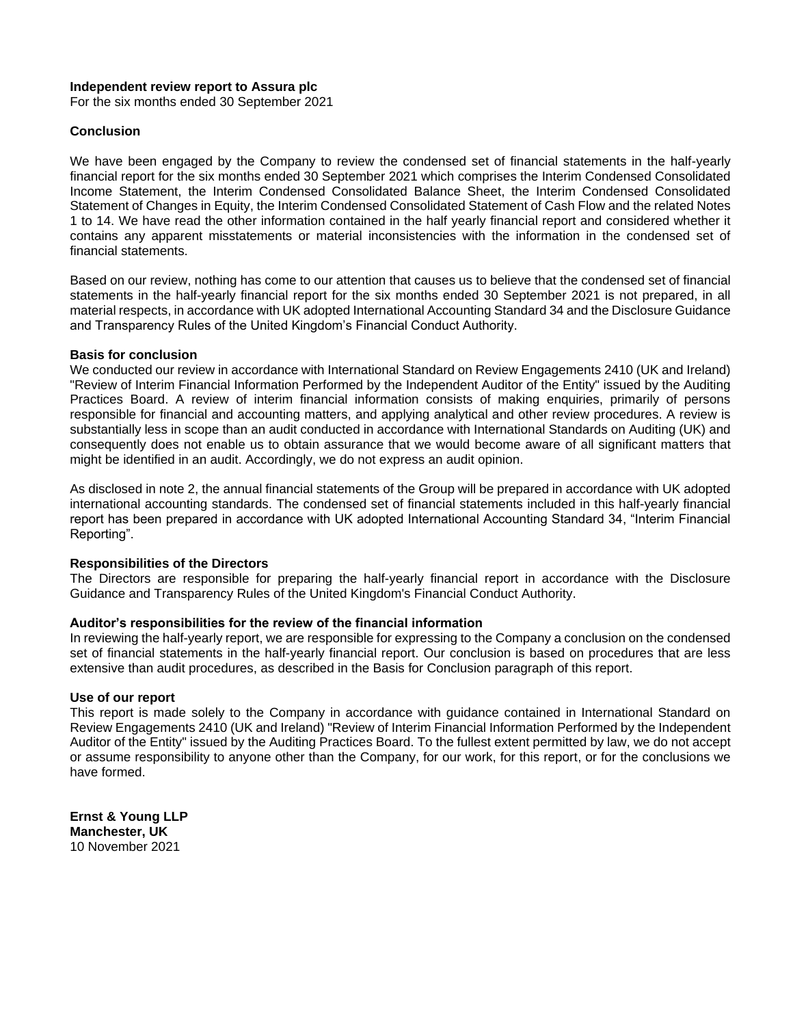#### **Independent review report to Assura plc**

For the six months ended 30 September 2021

#### **Conclusion**

We have been engaged by the Company to review the condensed set of financial statements in the half-yearly financial report for the six months ended 30 September 2021 which comprises the Interim Condensed Consolidated Income Statement, the Interim Condensed Consolidated Balance Sheet, the Interim Condensed Consolidated Statement of Changes in Equity, the Interim Condensed Consolidated Statement of Cash Flow and the related Notes 1 to 14. We have read the other information contained in the half yearly financial report and considered whether it contains any apparent misstatements or material inconsistencies with the information in the condensed set of financial statements.

Based on our review, nothing has come to our attention that causes us to believe that the condensed set of financial statements in the half-yearly financial report for the six months ended 30 September 2021 is not prepared, in all material respects, in accordance with UK adopted International Accounting Standard 34 and the Disclosure Guidance and Transparency Rules of the United Kingdom's Financial Conduct Authority.

#### **Basis for conclusion**

We conducted our review in accordance with International Standard on Review Engagements 2410 (UK and Ireland) "Review of Interim Financial Information Performed by the Independent Auditor of the Entity" issued by the Auditing Practices Board. A review of interim financial information consists of making enquiries, primarily of persons responsible for financial and accounting matters, and applying analytical and other review procedures. A review is substantially less in scope than an audit conducted in accordance with International Standards on Auditing (UK) and consequently does not enable us to obtain assurance that we would become aware of all significant matters that might be identified in an audit. Accordingly, we do not express an audit opinion.

As disclosed in note 2, the annual financial statements of the Group will be prepared in accordance with UK adopted international accounting standards. The condensed set of financial statements included in this half-yearly financial report has been prepared in accordance with UK adopted International Accounting Standard 34, "Interim Financial Reporting".

#### **Responsibilities of the Directors**

The Directors are responsible for preparing the half-yearly financial report in accordance with the Disclosure Guidance and Transparency Rules of the United Kingdom's Financial Conduct Authority.

### **Auditor's responsibilities for the review of the financial information**

In reviewing the half-yearly report, we are responsible for expressing to the Company a conclusion on the condensed set of financial statements in the half-yearly financial report. Our conclusion is based on procedures that are less extensive than audit procedures, as described in the Basis for Conclusion paragraph of this report.

#### **Use of our report**

This report is made solely to the Company in accordance with guidance contained in International Standard on Review Engagements 2410 (UK and Ireland) "Review of Interim Financial Information Performed by the Independent Auditor of the Entity" issued by the Auditing Practices Board. To the fullest extent permitted by law, we do not accept or assume responsibility to anyone other than the Company, for our work, for this report, or for the conclusions we have formed.

**Ernst & Young LLP Manchester, UK** 10 November 2021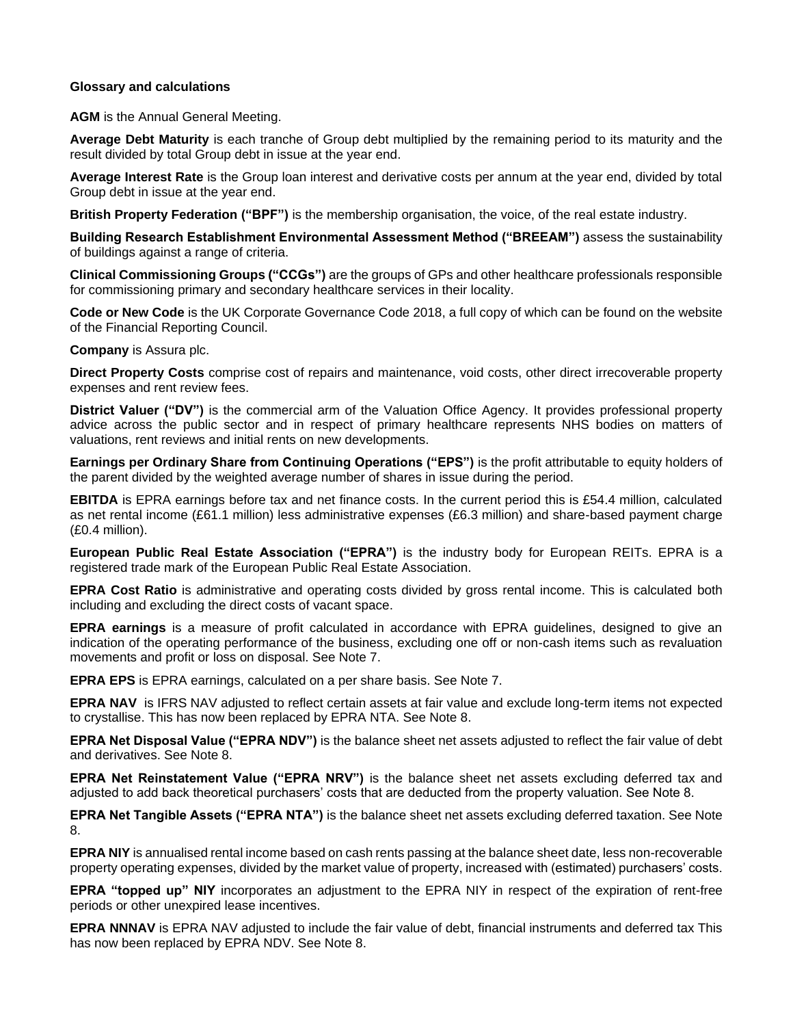### **Glossary and calculations**

#### **AGM** is the Annual General Meeting.

**Average Debt Maturity** is each tranche of Group debt multiplied by the remaining period to its maturity and the result divided by total Group debt in issue at the year end.

**Average Interest Rate** is the Group loan interest and derivative costs per annum at the year end, divided by total Group debt in issue at the year end.

**British Property Federation ("BPF")** is the membership organisation, the voice, of the real estate industry.

**Building Research Establishment Environmental Assessment Method ("BREEAM")** assess the sustainability of buildings against a range of criteria.

**Clinical Commissioning Groups ("CCGs")** are the groups of GPs and other healthcare professionals responsible for commissioning primary and secondary healthcare services in their locality.

**Code or New Code** is the UK Corporate Governance Code 2018, a full copy of which can be found on the website of the Financial Reporting Council.

**Company** is Assura plc.

**Direct Property Costs** comprise cost of repairs and maintenance, void costs, other direct irrecoverable property expenses and rent review fees.

**District Valuer ("DV")** is the commercial arm of the Valuation Office Agency. It provides professional property advice across the public sector and in respect of primary healthcare represents NHS bodies on matters of valuations, rent reviews and initial rents on new developments.

**Earnings per Ordinary Share from Continuing Operations ("EPS")** is the profit attributable to equity holders of the parent divided by the weighted average number of shares in issue during the period.

**EBITDA** is EPRA earnings before tax and net finance costs. In the current period this is £54.4 million, calculated as net rental income (£61.1 million) less administrative expenses (£6.3 million) and share-based payment charge (£0.4 million).

**European Public Real Estate Association ("EPRA")** is the industry body for European REITs. EPRA is a registered trade mark of the European Public Real Estate Association.

**EPRA Cost Ratio** is administrative and operating costs divided by gross rental income. This is calculated both including and excluding the direct costs of vacant space.

**EPRA earnings** is a measure of profit calculated in accordance with EPRA guidelines, designed to give an indication of the operating performance of the business, excluding one off or non-cash items such as revaluation movements and profit or loss on disposal. See Note 7.

**EPRA EPS** is EPRA earnings, calculated on a per share basis. See Note 7.

**EPRA NAV** is IFRS NAV adjusted to reflect certain assets at fair value and exclude long-term items not expected to crystallise. This has now been replaced by EPRA NTA. See Note 8.

**EPRA Net Disposal Value ("EPRA NDV")** is the balance sheet net assets adjusted to reflect the fair value of debt and derivatives. See Note 8.

**EPRA Net Reinstatement Value ("EPRA NRV")** is the balance sheet net assets excluding deferred tax and adjusted to add back theoretical purchasers' costs that are deducted from the property valuation. See Note 8.

**EPRA Net Tangible Assets ("EPRA NTA")** is the balance sheet net assets excluding deferred taxation. See Note 8.

**EPRA NIY** is annualised rental income based on cash rents passing at the balance sheet date, less non-recoverable property operating expenses, divided by the market value of property, increased with (estimated) purchasers' costs.

**EPRA "topped up" NIY** incorporates an adjustment to the EPRA NIY in respect of the expiration of rent-free periods or other unexpired lease incentives.

**EPRA NNNAV** is EPRA NAV adjusted to include the fair value of debt, financial instruments and deferred tax This has now been replaced by EPRA NDV. See Note 8.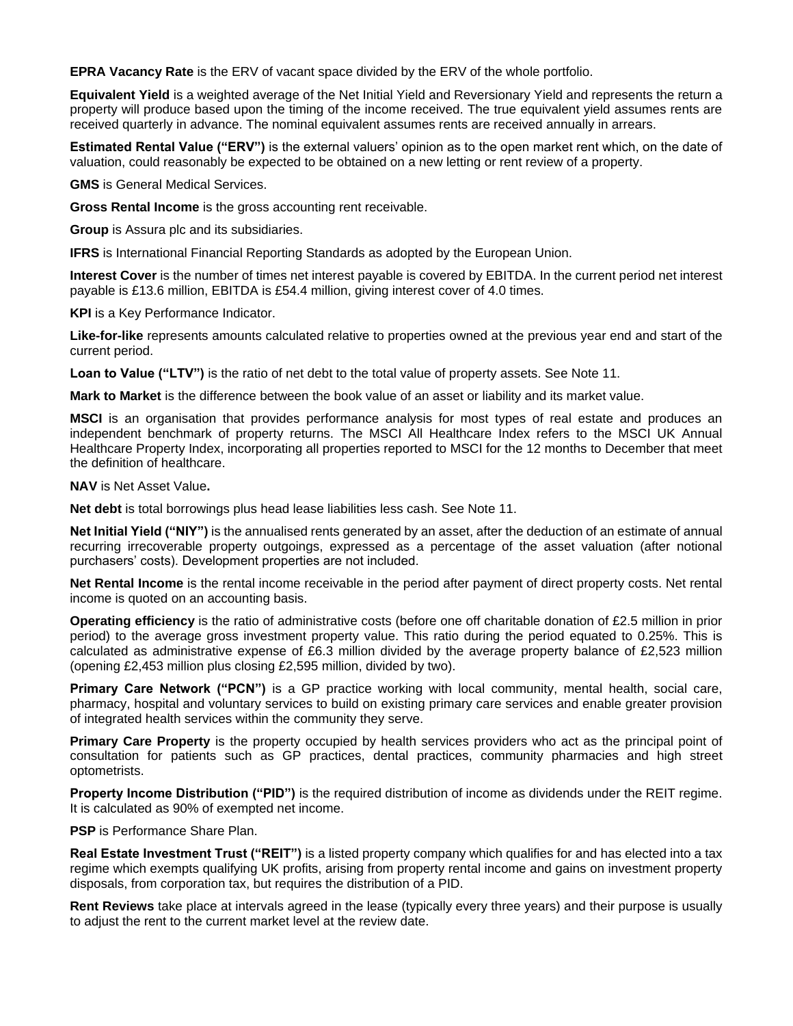**EPRA Vacancy Rate** is the ERV of vacant space divided by the ERV of the whole portfolio.

**Equivalent Yield** is a weighted average of the Net Initial Yield and Reversionary Yield and represents the return a property will produce based upon the timing of the income received. The true equivalent yield assumes rents are received quarterly in advance. The nominal equivalent assumes rents are received annually in arrears.

**Estimated Rental Value ("ERV")** is the external valuers' opinion as to the open market rent which, on the date of valuation, could reasonably be expected to be obtained on a new letting or rent review of a property.

**GMS** is General Medical Services.

**Gross Rental Income** is the gross accounting rent receivable.

**Group** is Assura plc and its subsidiaries.

**IFRS** is International Financial Reporting Standards as adopted by the European Union.

**Interest Cover** is the number of times net interest payable is covered by EBITDA. In the current period net interest payable is £13.6 million, EBITDA is £54.4 million, giving interest cover of 4.0 times.

**KPI** is a Key Performance Indicator.

**Like-for-like** represents amounts calculated relative to properties owned at the previous year end and start of the current period.

**Loan to Value ("LTV")** is the ratio of net debt to the total value of property assets. See Note 11.

**Mark to Market** is the difference between the book value of an asset or liability and its market value.

**MSCI** is an organisation that provides performance analysis for most types of real estate and produces an independent benchmark of property returns. The MSCI All Healthcare Index refers to the MSCI UK Annual Healthcare Property Index, incorporating all properties reported to MSCI for the 12 months to December that meet the definition of healthcare.

**NAV** is Net Asset Value**.**

**Net debt** is total borrowings plus head lease liabilities less cash. See Note 11.

**Net Initial Yield ("NIY")** is the annualised rents generated by an asset, after the deduction of an estimate of annual recurring irrecoverable property outgoings, expressed as a percentage of the asset valuation (after notional purchasers' costs). Development properties are not included.

**Net Rental Income** is the rental income receivable in the period after payment of direct property costs. Net rental income is quoted on an accounting basis.

**Operating efficiency** is the ratio of administrative costs (before one off charitable donation of £2.5 million in prior period) to the average gross investment property value. This ratio during the period equated to 0.25%. This is calculated as administrative expense of £6.3 million divided by the average property balance of £2,523 million (opening £2,453 million plus closing £2,595 million, divided by two).

**Primary Care Network ("PCN")** is a GP practice working with local community, mental health, social care, pharmacy, hospital and voluntary services to build on existing primary care services and enable greater provision of integrated health services within the community they serve.

**Primary Care Property** is the property occupied by health services providers who act as the principal point of consultation for patients such as GP practices, dental practices, community pharmacies and high street optometrists.

**Property Income Distribution ("PID")** is the required distribution of income as dividends under the REIT regime. It is calculated as 90% of exempted net income.

**PSP** is Performance Share Plan.

**Real Estate Investment Trust ("REIT")** is a listed property company which qualifies for and has elected into a tax regime which exempts qualifying UK profits, arising from property rental income and gains on investment property disposals, from corporation tax, but requires the distribution of a PID.

**Rent Reviews** take place at intervals agreed in the lease (typically every three years) and their purpose is usually to adjust the rent to the current market level at the review date.